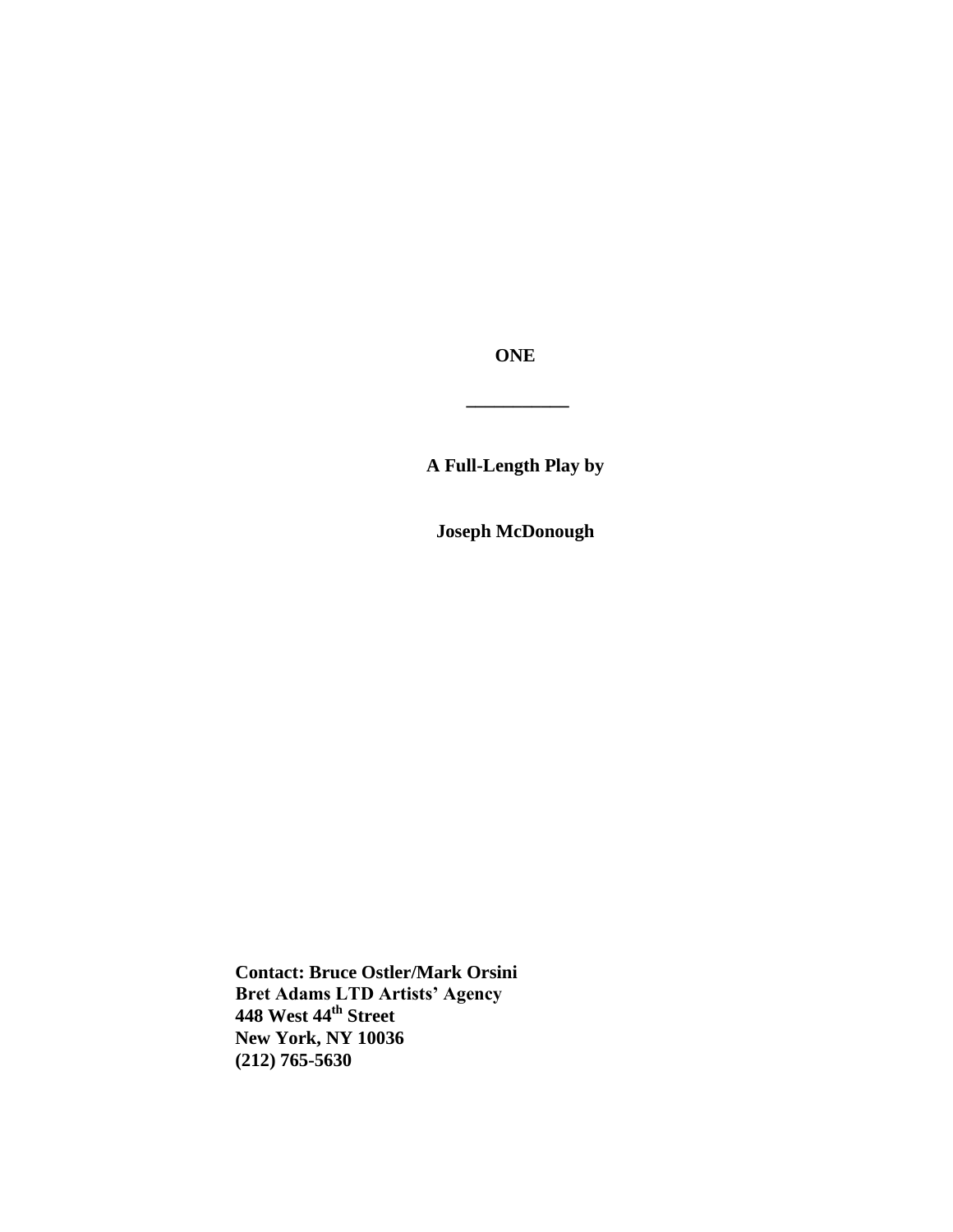**ONE**

**\_\_\_\_\_\_\_\_\_\_\_**

**A Full-Length Play by**

**Joseph McDonough**

**Contact: Bruce Ostler/Mark Orsini Bret Adams LTD Artists' Agency 448 West 44th Street New York, NY 10036 (212) 765-5630**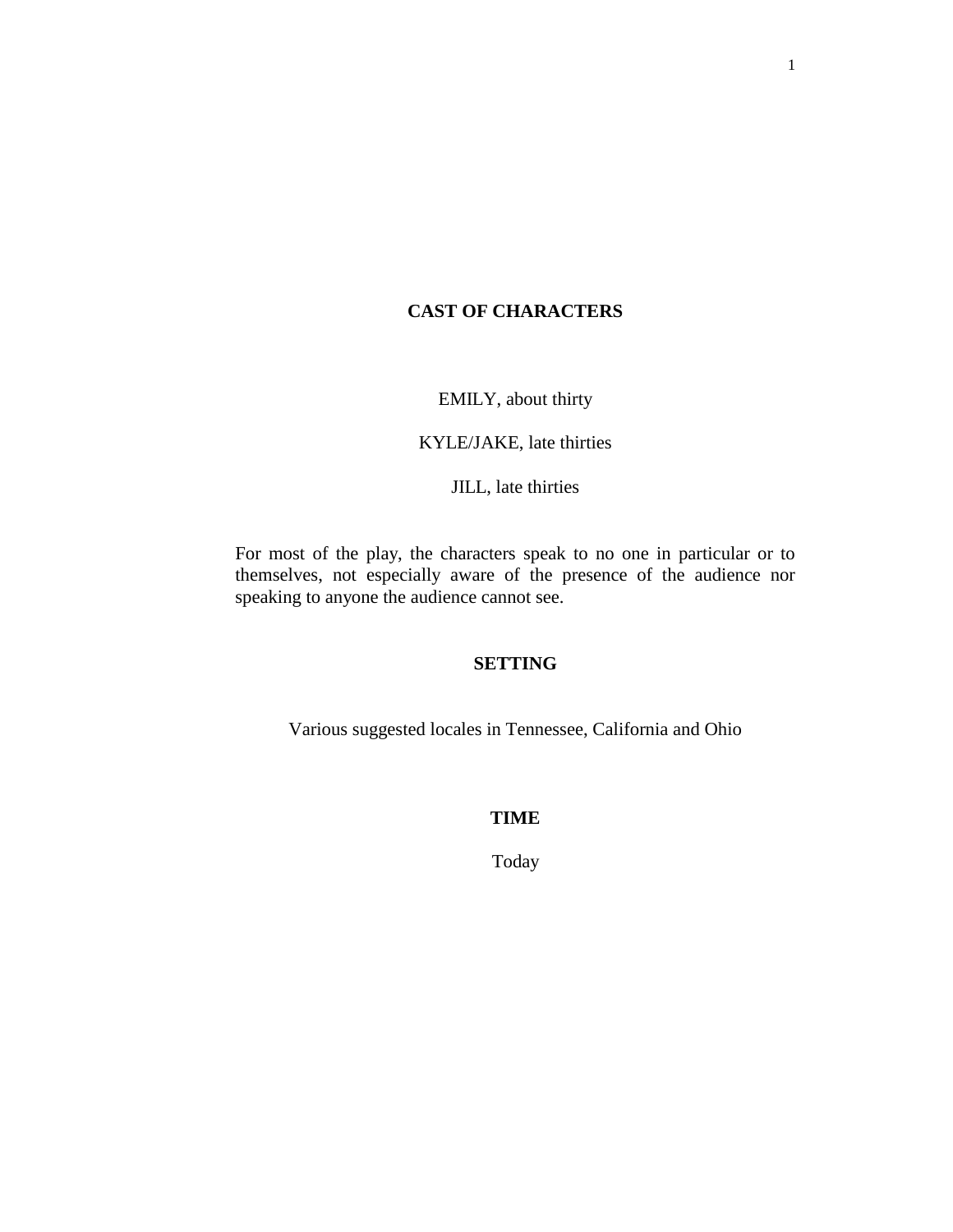## **CAST OF CHARACTERS**

EMILY, about thirty

KYLE/JAKE, late thirties

JILL, late thirties

For most of the play, the characters speak to no one in particular or to themselves, not especially aware of the presence of the audience nor speaking to anyone the audience cannot see.

## **SETTING**

Various suggested locales in Tennessee, California and Ohio

## **TIME**

Today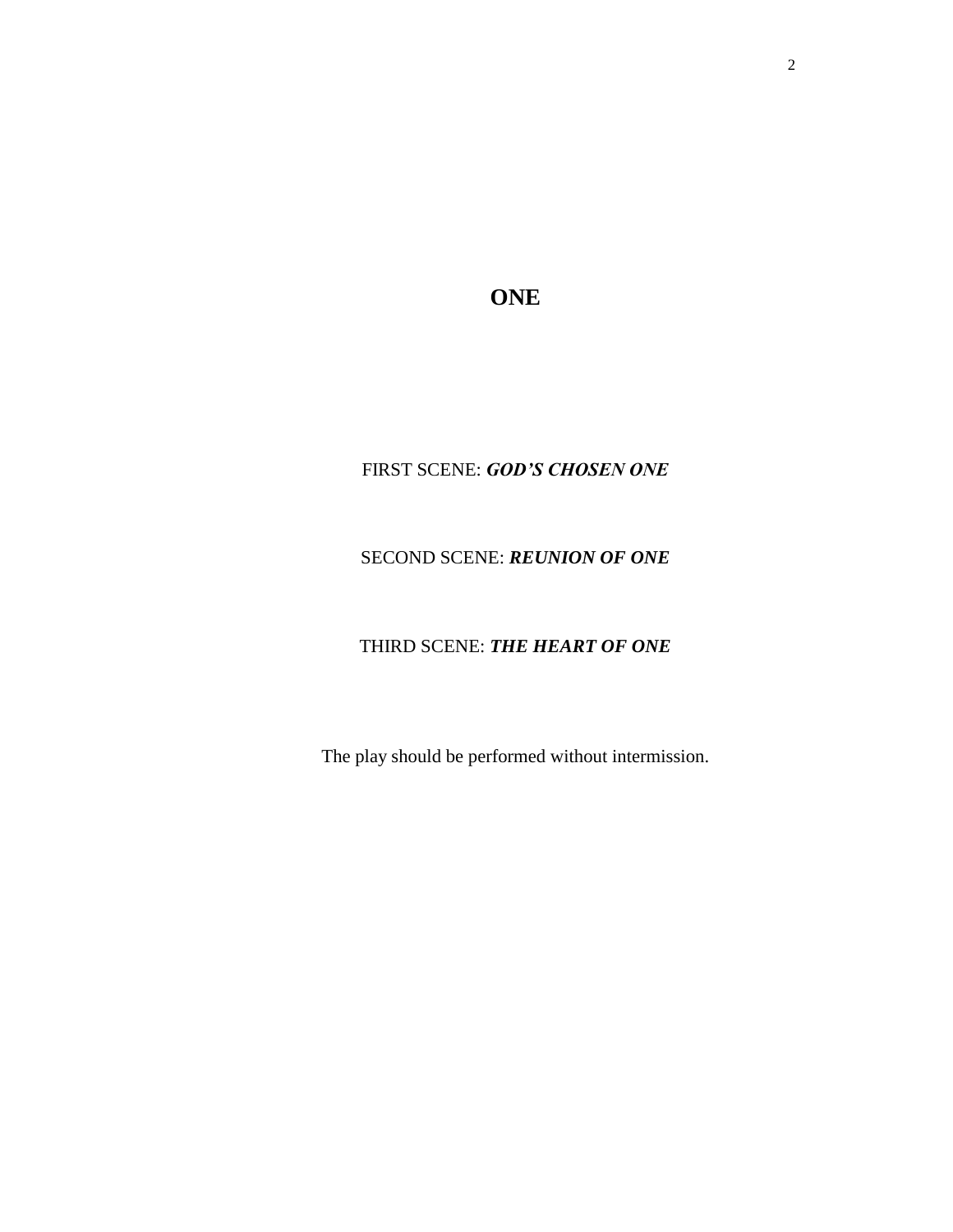**ONE**

# FIRST SCENE: *GOD'S CHOSEN ONE*

# SECOND SCENE: *REUNION OF ONE*

# THIRD SCENE: *THE HEART OF ONE*

The play should be performed without intermission.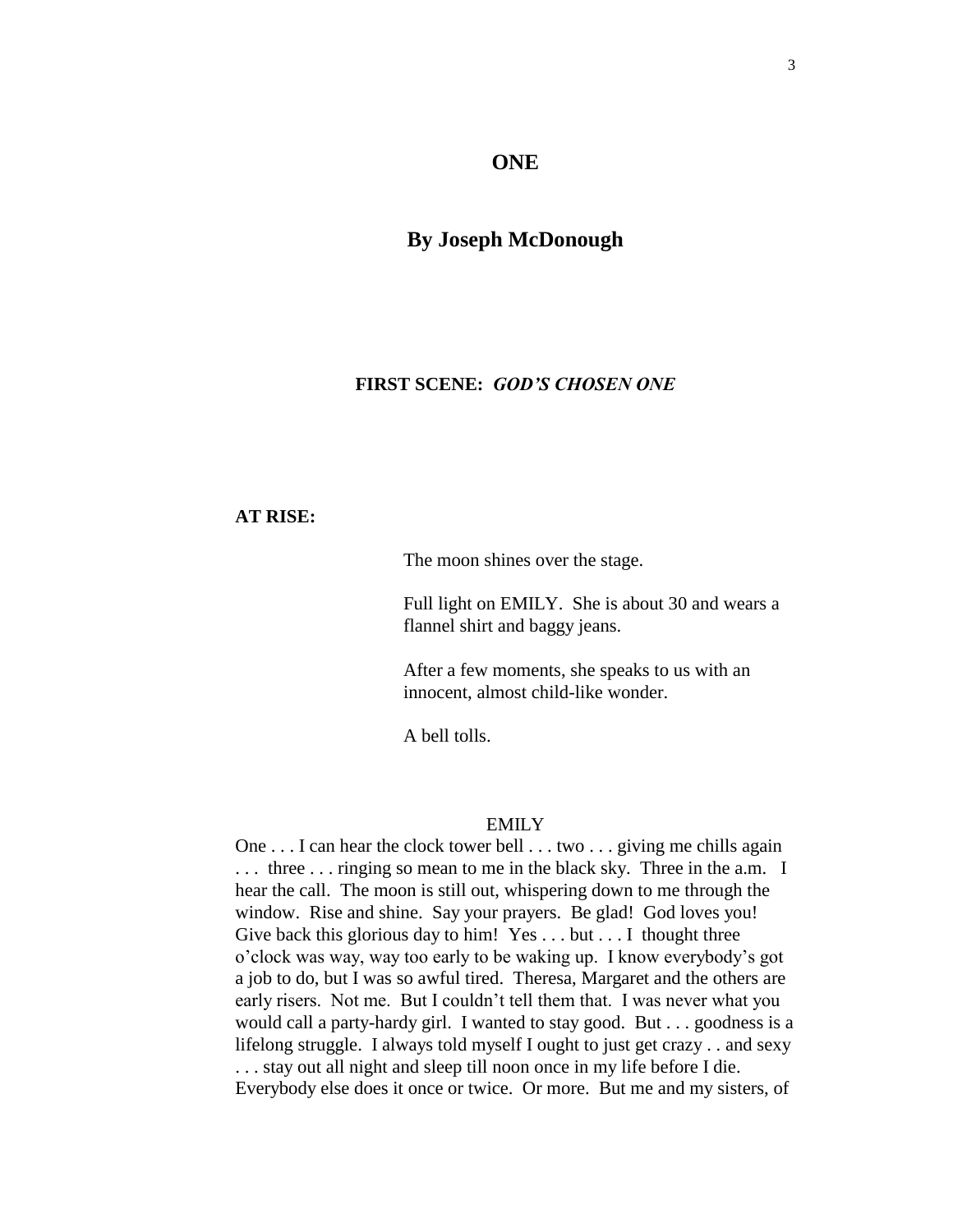#### **ONE**

## **By Joseph McDonough**

## **FIRST SCENE:** *GOD'S CHOSEN ONE*

## **AT RISE:**

The moon shines over the stage.

Full light on EMILY. She is about 30 and wears a flannel shirt and baggy jeans.

After a few moments, she speaks to us with an innocent, almost child-like wonder.

A bell tolls.

#### EMILY

One . . . I can hear the clock tower bell . . . two . . . giving me chills again ... three ... ringing so mean to me in the black sky. Three in the a.m. I hear the call. The moon is still out, whispering down to me through the window. Rise and shine. Say your prayers. Be glad! God loves you! Give back this glorious day to him! Yes . . . but . . . I thought three o'clock was way, way too early to be waking up. I know everybody's got a job to do, but I was so awful tired. Theresa, Margaret and the others are early risers. Not me. But I couldn't tell them that. I was never what you would call a party-hardy girl. I wanted to stay good. But . . . goodness is a lifelong struggle. I always told myself I ought to just get crazy . . and sexy . . . stay out all night and sleep till noon once in my life before I die. Everybody else does it once or twice. Or more. But me and my sisters, of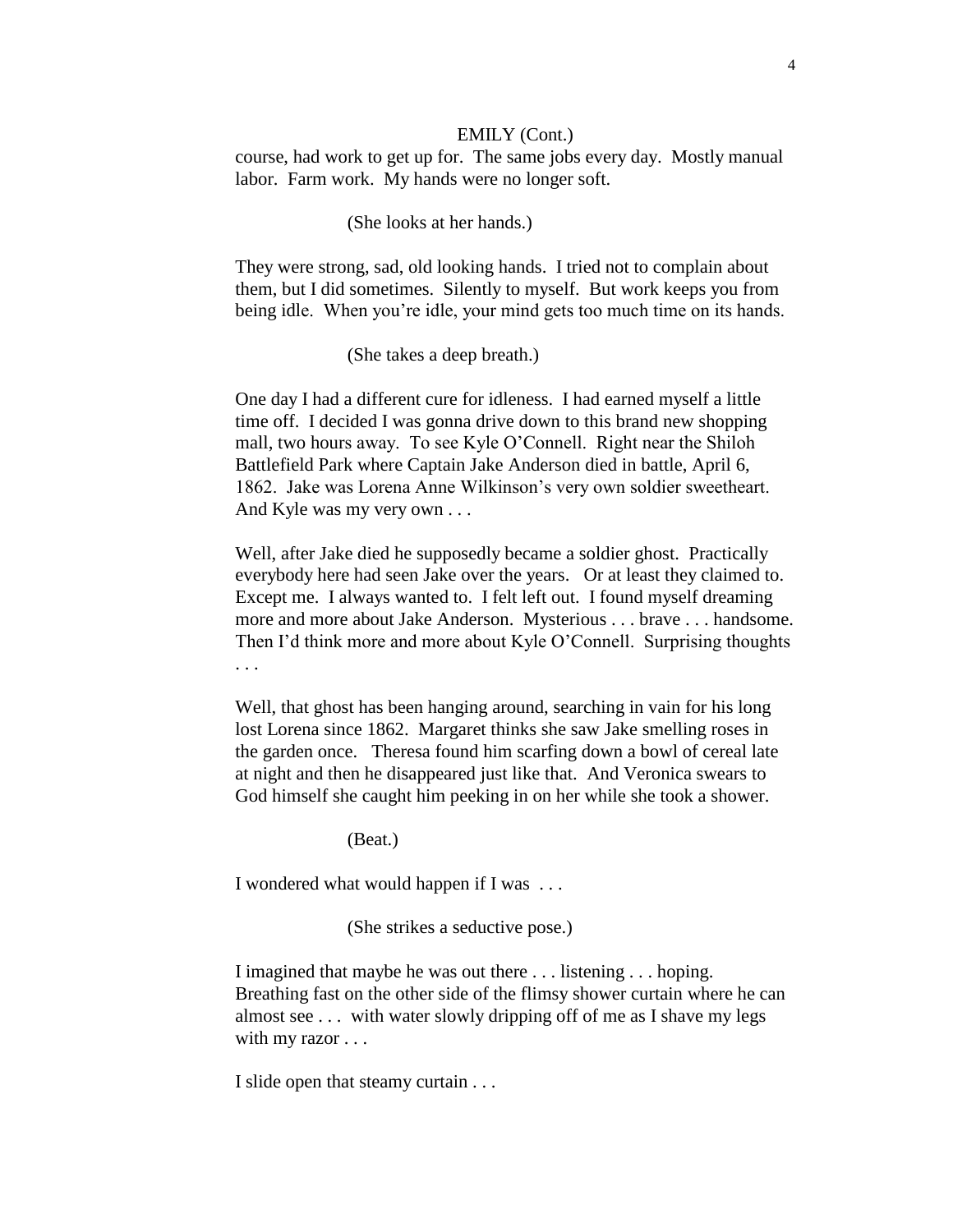#### EMILY (Cont.)

course, had work to get up for. The same jobs every day. Mostly manual labor. Farm work. My hands were no longer soft.

### (She looks at her hands.)

They were strong, sad, old looking hands. I tried not to complain about them, but I did sometimes. Silently to myself. But work keeps you from being idle. When you're idle, your mind gets too much time on its hands.

(She takes a deep breath.)

One day I had a different cure for idleness. I had earned myself a little time off. I decided I was gonna drive down to this brand new shopping mall, two hours away. To see Kyle O'Connell. Right near the Shiloh Battlefield Park where Captain Jake Anderson died in battle, April 6, 1862. Jake was Lorena Anne Wilkinson's very own soldier sweetheart. And Kyle was my very own . . .

Well, after Jake died he supposedly became a soldier ghost. Practically everybody here had seen Jake over the years. Or at least they claimed to. Except me. I always wanted to. I felt left out. I found myself dreaming more and more about Jake Anderson. Mysterious . . . brave . . . handsome. Then I'd think more and more about Kyle O'Connell. Surprising thoughts . . .

Well, that ghost has been hanging around, searching in vain for his long lost Lorena since 1862. Margaret thinks she saw Jake smelling roses in the garden once. Theresa found him scarfing down a bowl of cereal late at night and then he disappeared just like that. And Veronica swears to God himself she caught him peeking in on her while she took a shower.

(Beat.)

I wondered what would happen if I was . . .

(She strikes a seductive pose.)

I imagined that maybe he was out there . . . listening . . . hoping. Breathing fast on the other side of the flimsy shower curtain where he can almost see . . . with water slowly dripping off of me as I shave my legs with my razor . . .

I slide open that steamy curtain . . .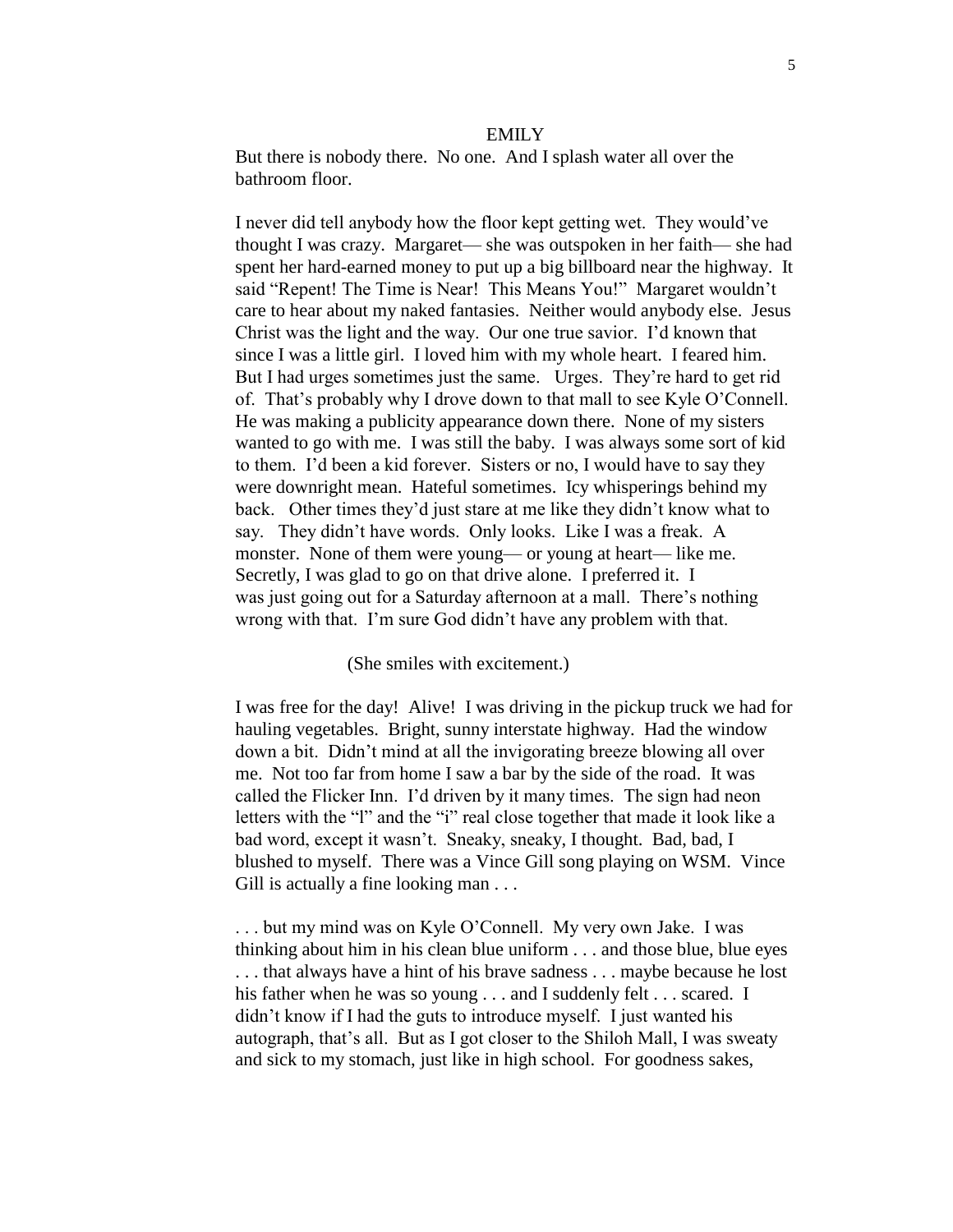#### EMILY

But there is nobody there. No one. And I splash water all over the bathroom floor.

I never did tell anybody how the floor kept getting wet. They would've thought I was crazy. Margaret— she was outspoken in her faith— she had spent her hard-earned money to put up a big billboard near the highway. It said "Repent! The Time is Near! This Means You!" Margaret wouldn't care to hear about my naked fantasies. Neither would anybody else. Jesus Christ was the light and the way. Our one true savior. I'd known that since I was a little girl. I loved him with my whole heart. I feared him. But I had urges sometimes just the same. Urges. They're hard to get rid of. That's probably why I drove down to that mall to see Kyle O'Connell. He was making a publicity appearance down there. None of my sisters wanted to go with me. I was still the baby. I was always some sort of kid to them. I'd been a kid forever. Sisters or no, I would have to say they were downright mean. Hateful sometimes. Icy whisperings behind my back. Other times they'd just stare at me like they didn't know what to say. They didn't have words. Only looks. Like I was a freak. A monster. None of them were young— or young at heart— like me. Secretly, I was glad to go on that drive alone. I preferred it. I was just going out for a Saturday afternoon at a mall. There's nothing wrong with that. I'm sure God didn't have any problem with that.

#### (She smiles with excitement.)

I was free for the day! Alive! I was driving in the pickup truck we had for hauling vegetables. Bright, sunny interstate highway. Had the window down a bit. Didn't mind at all the invigorating breeze blowing all over me. Not too far from home I saw a bar by the side of the road. It was called the Flicker Inn. I'd driven by it many times. The sign had neon letters with the "l" and the "i" real close together that made it look like a bad word, except it wasn't. Sneaky, sneaky, I thought. Bad, bad, I blushed to myself. There was a Vince Gill song playing on WSM. Vince Gill is actually a fine looking man . . .

. . . but my mind was on Kyle O'Connell. My very own Jake. I was thinking about him in his clean blue uniform . . . and those blue, blue eyes . . . that always have a hint of his brave sadness . . . maybe because he lost his father when he was so young . . . and I suddenly felt . . . scared. I didn't know if I had the guts to introduce myself. I just wanted his autograph, that's all. But as I got closer to the Shiloh Mall, I was sweaty and sick to my stomach, just like in high school. For goodness sakes,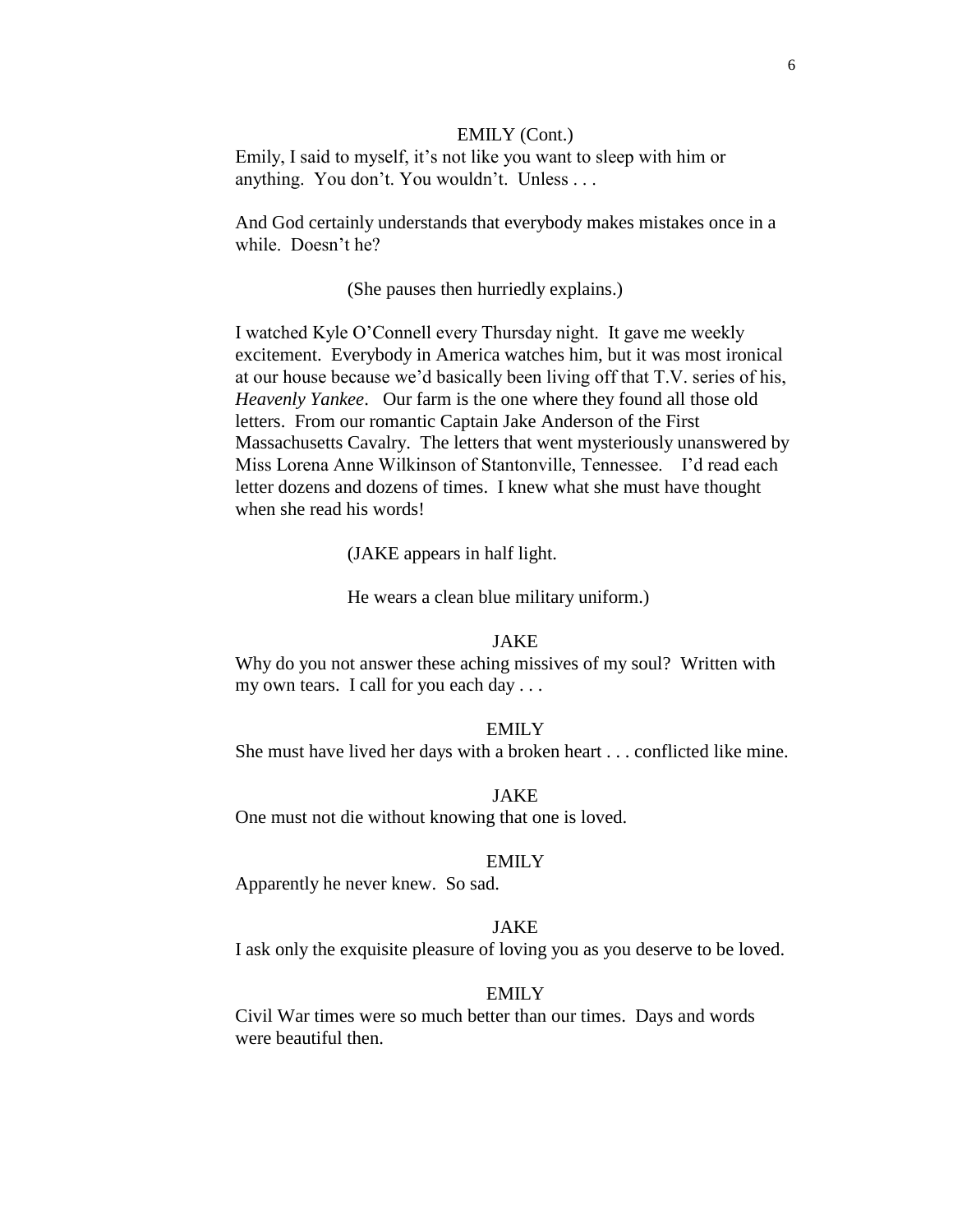#### EMILY (Cont.)

Emily, I said to myself, it's not like you want to sleep with him or anything. You don't. You wouldn't. Unless . . .

And God certainly understands that everybody makes mistakes once in a while. Doesn't he?

#### (She pauses then hurriedly explains.)

I watched Kyle O'Connell every Thursday night. It gave me weekly excitement. Everybody in America watches him, but it was most ironical at our house because we'd basically been living off that T.V. series of his, *Heavenly Yankee*. Our farm is the one where they found all those old letters. From our romantic Captain Jake Anderson of the First Massachusetts Cavalry. The letters that went mysteriously unanswered by Miss Lorena Anne Wilkinson of Stantonville, Tennessee. I'd read each letter dozens and dozens of times. I knew what she must have thought when she read his words!

(JAKE appears in half light.

He wears a clean blue military uniform.)

### JAKE

Why do you not answer these aching missives of my soul? Written with my own tears. I call for you each day . . .

#### EMILY

She must have lived her days with a broken heart . . . conflicted like mine.

### JAKE

One must not die without knowing that one is loved.

#### EMILY

Apparently he never knew. So sad.

### JAKE

I ask only the exquisite pleasure of loving you as you deserve to be loved.

## EMILY

Civil War times were so much better than our times. Days and words were beautiful then.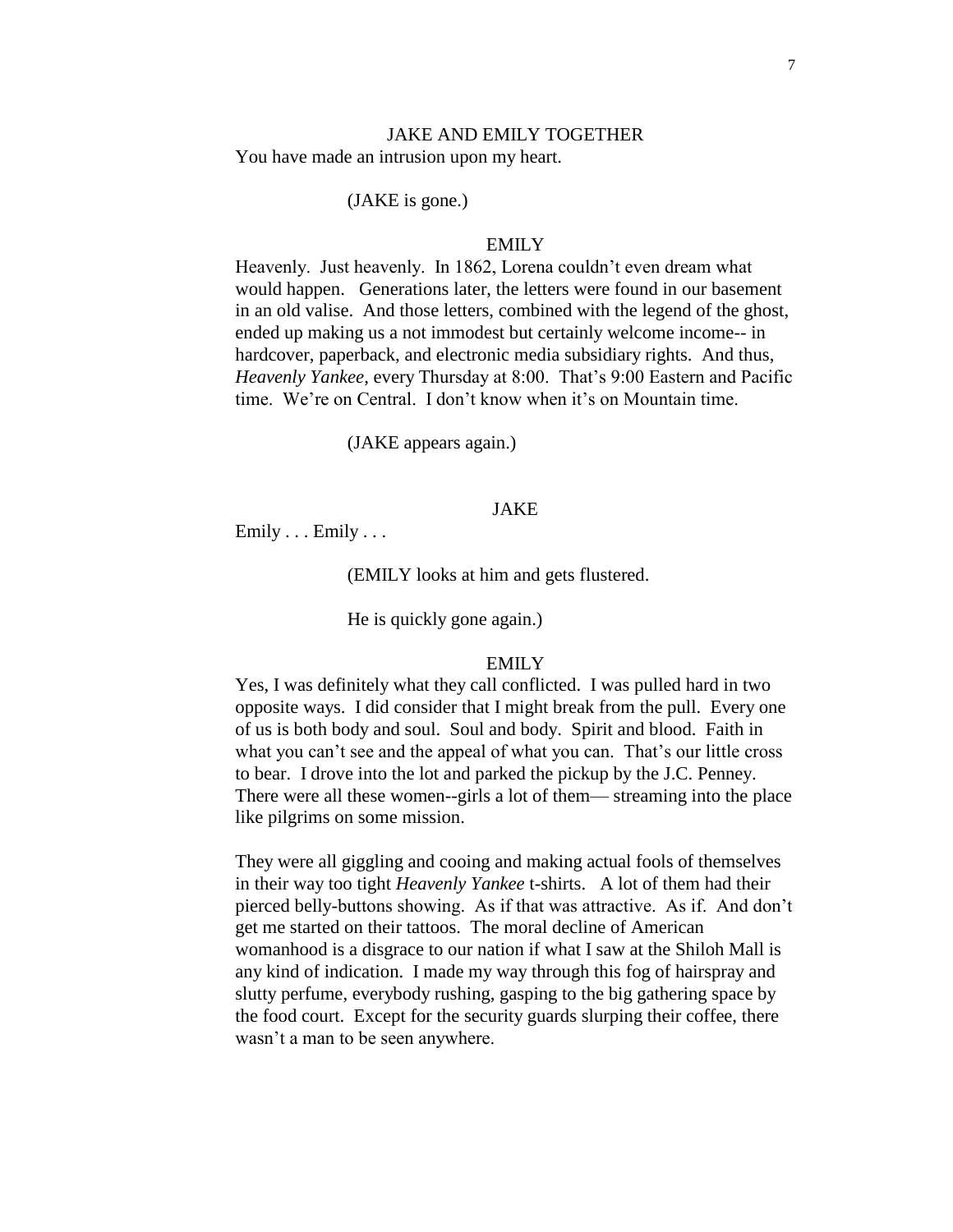#### JAKE AND EMILY TOGETHER You have made an intrusion upon my heart.

#### (JAKE is gone.)

#### EMILY

Heavenly. Just heavenly. In 1862, Lorena couldn't even dream what would happen. Generations later, the letters were found in our basement in an old valise. And those letters, combined with the legend of the ghost, ended up making us a not immodest but certainly welcome income-- in hardcover, paperback, and electronic media subsidiary rights. And thus, *Heavenly Yankee*, every Thursday at 8:00. That's 9:00 Eastern and Pacific time. We're on Central. I don't know when it's on Mountain time.

(JAKE appears again.)

#### JAKE

Emily . . . Emily . . .

(EMILY looks at him and gets flustered.

He is quickly gone again.)

#### EMILY

Yes, I was definitely what they call conflicted. I was pulled hard in two opposite ways. I did consider that I might break from the pull. Every one of us is both body and soul. Soul and body. Spirit and blood. Faith in what you can't see and the appeal of what you can. That's our little cross to bear. I drove into the lot and parked the pickup by the J.C. Penney. There were all these women--girls a lot of them— streaming into the place like pilgrims on some mission.

They were all giggling and cooing and making actual fools of themselves in their way too tight *Heavenly Yankee* t-shirts. A lot of them had their pierced belly-buttons showing. As if that was attractive. As if. And don't get me started on their tattoos. The moral decline of American womanhood is a disgrace to our nation if what I saw at the Shiloh Mall is any kind of indication. I made my way through this fog of hairspray and slutty perfume, everybody rushing, gasping to the big gathering space by the food court. Except for the security guards slurping their coffee, there wasn't a man to be seen anywhere.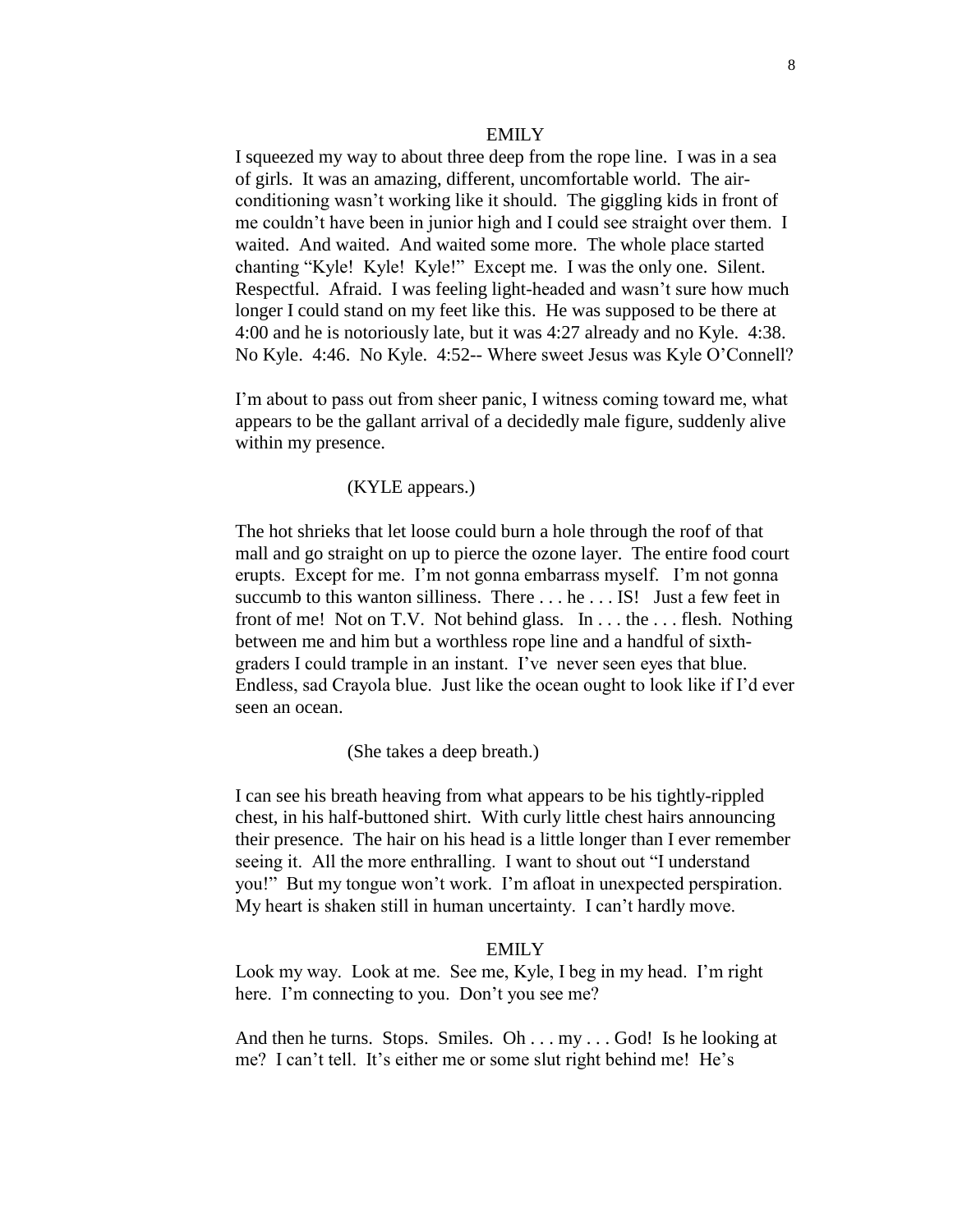#### EMILY

I squeezed my way to about three deep from the rope line. I was in a sea of girls. It was an amazing, different, uncomfortable world. The airconditioning wasn't working like it should. The giggling kids in front of me couldn't have been in junior high and I could see straight over them. I waited. And waited. And waited some more. The whole place started chanting "Kyle! Kyle! Kyle!" Except me. I was the only one. Silent. Respectful. Afraid. I was feeling light-headed and wasn't sure how much longer I could stand on my feet like this. He was supposed to be there at 4:00 and he is notoriously late, but it was 4:27 already and no Kyle. 4:38. No Kyle. 4:46. No Kyle. 4:52-- Where sweet Jesus was Kyle O'Connell?

I'm about to pass out from sheer panic, I witness coming toward me, what appears to be the gallant arrival of a decidedly male figure, suddenly alive within my presence.

## (KYLE appears.)

The hot shrieks that let loose could burn a hole through the roof of that mall and go straight on up to pierce the ozone layer. The entire food court erupts. Except for me. I'm not gonna embarrass myself. I'm not gonna succumb to this wanton silliness. There . . . he . . . IS! Just a few feet in front of me! Not on T.V. Not behind glass. In . . . the . . . flesh. Nothing between me and him but a worthless rope line and a handful of sixthgraders I could trample in an instant. I've never seen eyes that blue. Endless, sad Crayola blue. Just like the ocean ought to look like if I'd ever seen an ocean.

#### (She takes a deep breath.)

I can see his breath heaving from what appears to be his tightly-rippled chest, in his half-buttoned shirt. With curly little chest hairs announcing their presence. The hair on his head is a little longer than I ever remember seeing it. All the more enthralling. I want to shout out "I understand you!" But my tongue won't work. I'm afloat in unexpected perspiration. My heart is shaken still in human uncertainty. I can't hardly move.

#### EMILY

Look my way. Look at me. See me, Kyle, I beg in my head. I'm right here. I'm connecting to you. Don't you see me?

And then he turns. Stops. Smiles. Oh . . . my . . . God! Is he looking at me? I can't tell. It's either me or some slut right behind me! He's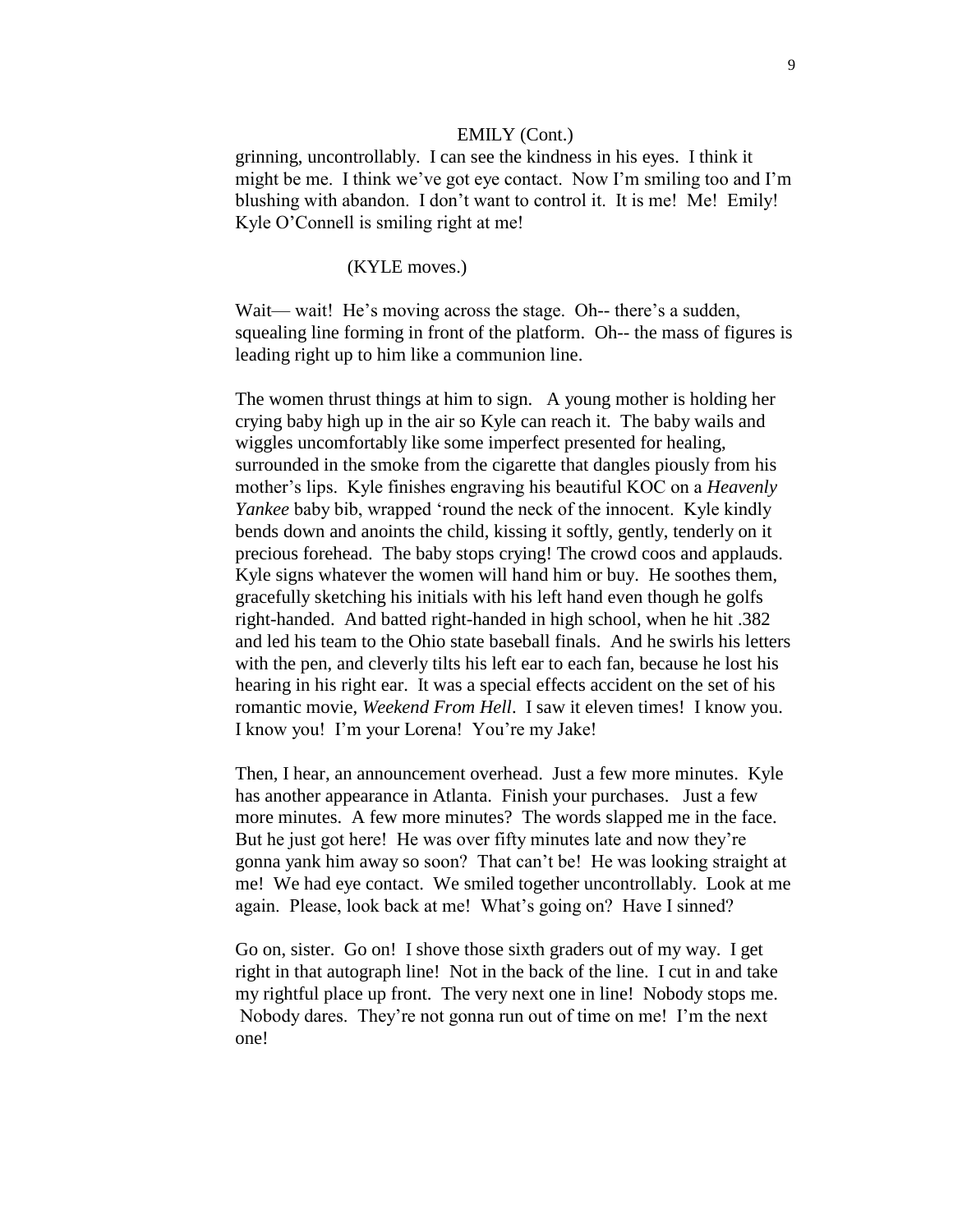#### EMILY (Cont.)

grinning, uncontrollably. I can see the kindness in his eyes. I think it might be me. I think we've got eye contact. Now I'm smiling too and I'm blushing with abandon. I don't want to control it. It is me! Me! Emily! Kyle O'Connell is smiling right at me!

#### (KYLE moves.)

Wait— wait! He's moving across the stage. Oh-- there's a sudden, squealing line forming in front of the platform. Oh-- the mass of figures is leading right up to him like a communion line.

The women thrust things at him to sign. A young mother is holding her crying baby high up in the air so Kyle can reach it. The baby wails and wiggles uncomfortably like some imperfect presented for healing, surrounded in the smoke from the cigarette that dangles piously from his mother's lips. Kyle finishes engraving his beautiful KOC on a *Heavenly Yankee* baby bib, wrapped 'round the neck of the innocent. Kyle kindly bends down and anoints the child, kissing it softly, gently, tenderly on it precious forehead. The baby stops crying! The crowd coos and applauds. Kyle signs whatever the women will hand him or buy. He soothes them, gracefully sketching his initials with his left hand even though he golfs right-handed. And batted right-handed in high school, when he hit .382 and led his team to the Ohio state baseball finals. And he swirls his letters with the pen, and cleverly tilts his left ear to each fan, because he lost his hearing in his right ear. It was a special effects accident on the set of his romantic movie, *Weekend From Hell*. I saw it eleven times! I know you. I know you! I'm your Lorena! You're my Jake!

Then, I hear, an announcement overhead. Just a few more minutes. Kyle has another appearance in Atlanta. Finish your purchases. Just a few more minutes. A few more minutes? The words slapped me in the face. But he just got here! He was over fifty minutes late and now they're gonna yank him away so soon? That can't be! He was looking straight at me! We had eye contact. We smiled together uncontrollably. Look at me again. Please, look back at me! What's going on? Have I sinned?

Go on, sister. Go on! I shove those sixth graders out of my way. I get right in that autograph line! Not in the back of the line. I cut in and take my rightful place up front. The very next one in line! Nobody stops me. Nobody dares. They're not gonna run out of time on me! I'm the next one!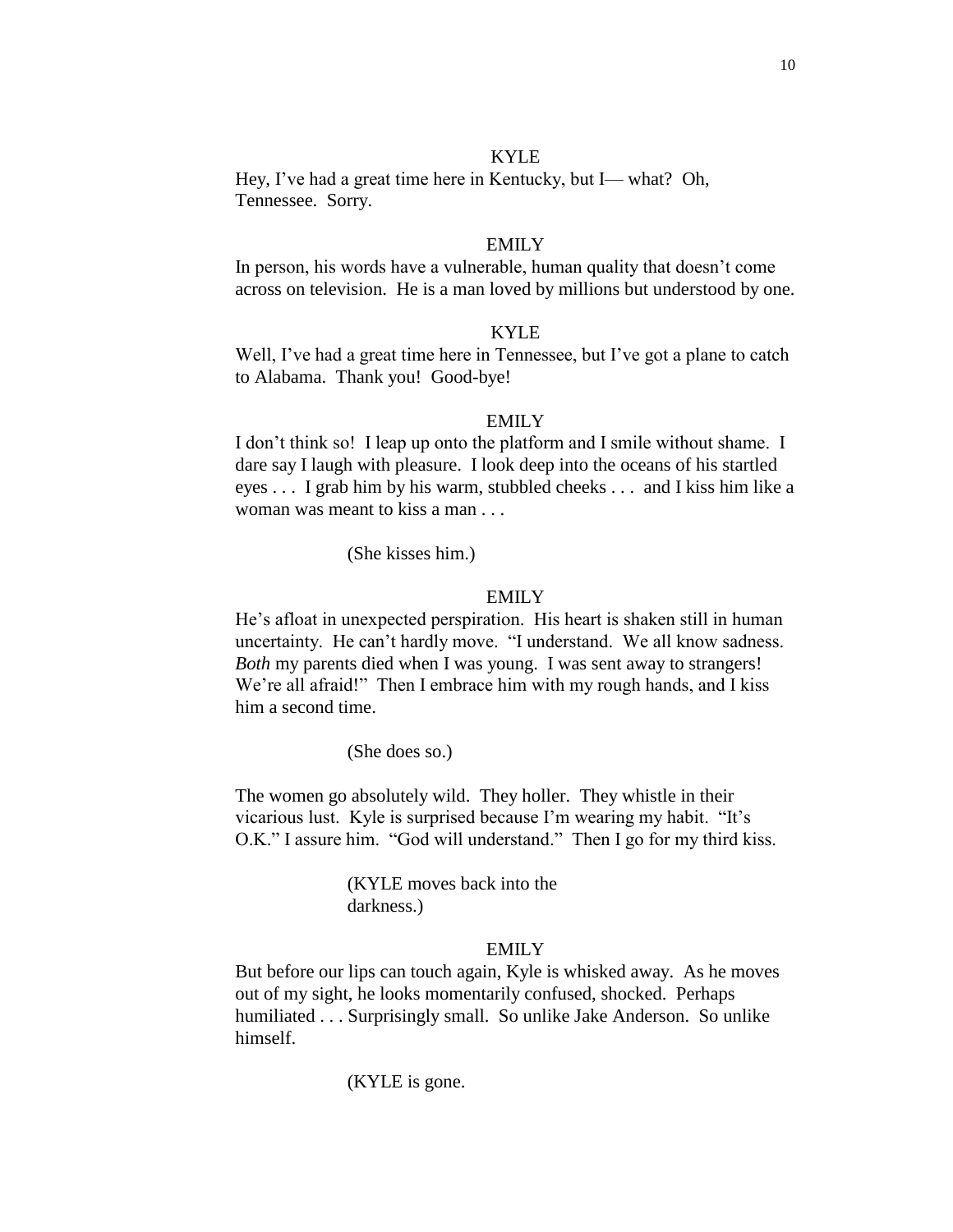#### KYLE

Hey, I've had a great time here in Kentucky, but I— what? Oh, Tennessee. Sorry.

#### EMILY

In person, his words have a vulnerable, human quality that doesn't come across on television. He is a man loved by millions but understood by one.

## KYLE

Well, I've had a great time here in Tennessee, but I've got a plane to catch to Alabama. Thank you! Good-bye!

### EMILY

I don't think so! I leap up onto the platform and I smile without shame. I dare say I laugh with pleasure. I look deep into the oceans of his startled eyes . . . I grab him by his warm, stubbled cheeks . . . and I kiss him like a woman was meant to kiss a man . . .

(She kisses him.)

#### EMILY

He's afloat in unexpected perspiration. His heart is shaken still in human uncertainty. He can't hardly move. "I understand. We all know sadness. *Both* my parents died when I was young. I was sent away to strangers! We're all afraid!" Then I embrace him with my rough hands, and I kiss him a second time.

(She does so.)

The women go absolutely wild. They holler. They whistle in their vicarious lust. Kyle is surprised because I'm wearing my habit. "It's O.K." I assure him. "God will understand." Then I go for my third kiss.

> (KYLE moves back into the darkness.)

## EMILY

But before our lips can touch again, Kyle is whisked away. As he moves out of my sight, he looks momentarily confused, shocked. Perhaps humiliated . . . Surprisingly small. So unlike Jake Anderson. So unlike himself.

(KYLE is gone.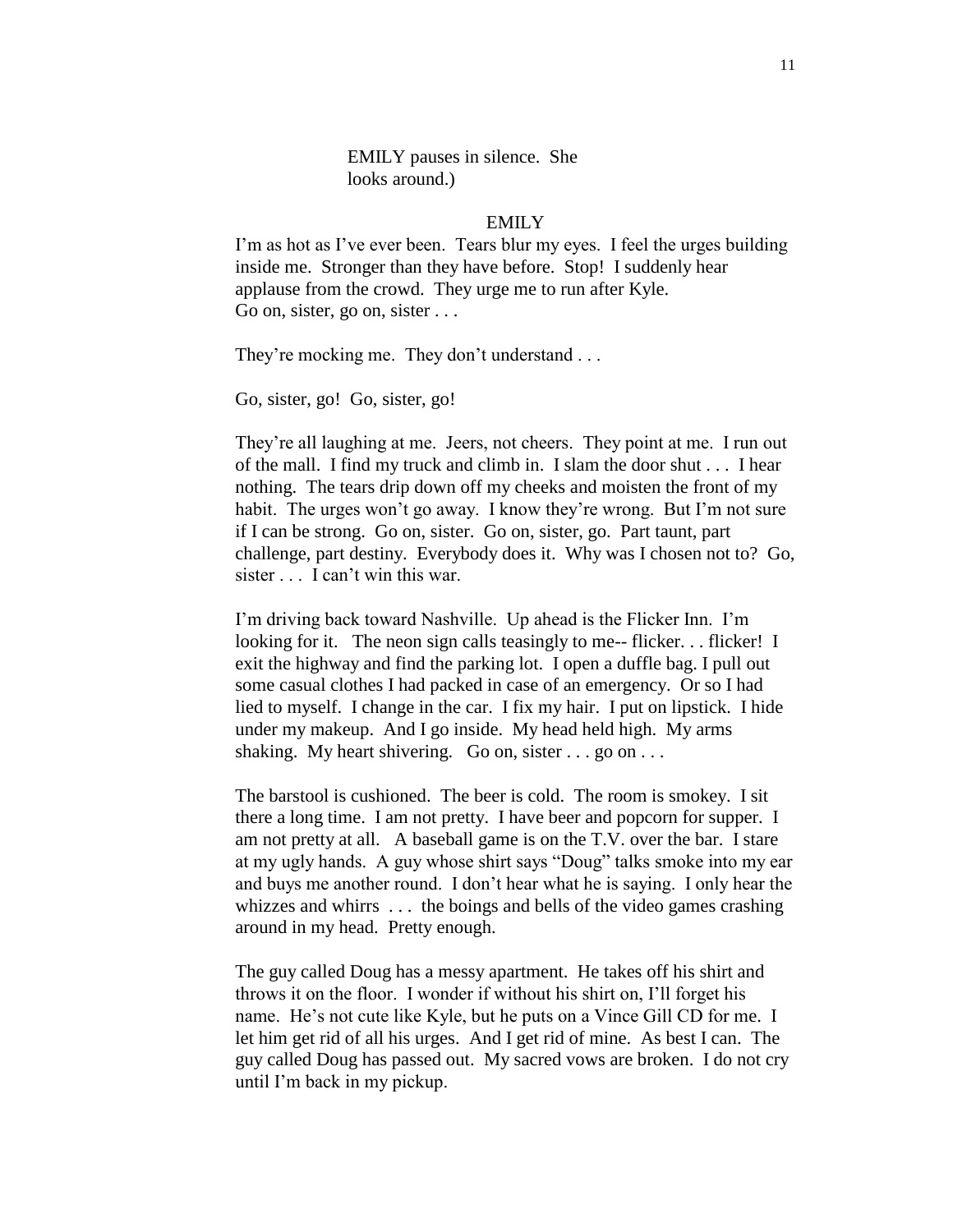EMILY pauses in silence. She looks around.)

## EMILY

I'm as hot as I've ever been. Tears blur my eyes. I feel the urges building inside me. Stronger than they have before. Stop! I suddenly hear applause from the crowd. They urge me to run after Kyle. Go on, sister, go on, sister ...

They're mocking me. They don't understand ...

Go, sister, go! Go, sister, go!

They're all laughing at me. Jeers, not cheers. They point at me. I run out of the mall. I find my truck and climb in. I slam the door shut . . . I hear nothing. The tears drip down off my cheeks and moisten the front of my habit. The urges won't go away. I know they're wrong. But I'm not sure if I can be strong. Go on, sister. Go on, sister, go. Part taunt, part challenge, part destiny. Everybody does it. Why was I chosen not to? Go, sister . . . I can't win this war.

I'm driving back toward Nashville. Up ahead is the Flicker Inn. I'm looking for it. The neon sign calls teasingly to me-- flicker. . . flicker! I exit the highway and find the parking lot. I open a duffle bag. I pull out some casual clothes I had packed in case of an emergency. Or so I had lied to myself. I change in the car. I fix my hair. I put on lipstick. I hide under my makeup. And I go inside. My head held high. My arms shaking. My heart shivering. Go on, sister . . . go on . . .

The barstool is cushioned. The beer is cold. The room is smokey. I sit there a long time. I am not pretty. I have beer and popcorn for supper. I am not pretty at all. A baseball game is on the T.V. over the bar. I stare at my ugly hands. A guy whose shirt says "Doug" talks smoke into my ear and buys me another round. I don't hear what he is saying. I only hear the whizzes and whirrs ... the boings and bells of the video games crashing around in my head. Pretty enough.

The guy called Doug has a messy apartment. He takes off his shirt and throws it on the floor. I wonder if without his shirt on, I'll forget his name. He's not cute like Kyle, but he puts on a Vince Gill CD for me. I let him get rid of all his urges. And I get rid of mine. As best I can. The guy called Doug has passed out. My sacred vows are broken. I do not cry until I'm back in my pickup.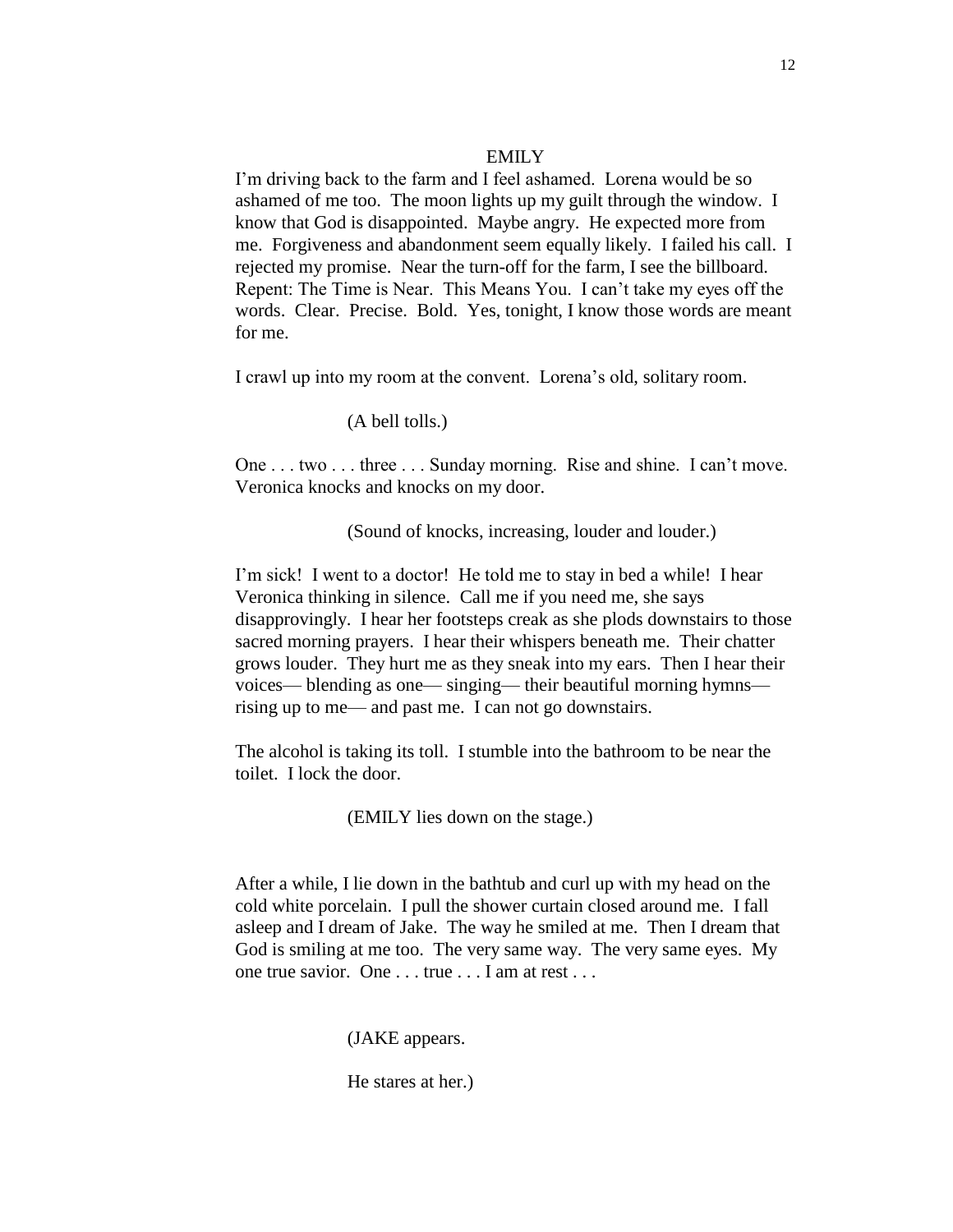#### EMILY

I'm driving back to the farm and I feel ashamed. Lorena would be so ashamed of me too. The moon lights up my guilt through the window. I know that God is disappointed. Maybe angry. He expected more from me. Forgiveness and abandonment seem equally likely. I failed his call. I rejected my promise. Near the turn-off for the farm, I see the billboard. Repent: The Time is Near. This Means You. I can't take my eyes off the words. Clear. Precise. Bold. Yes, tonight, I know those words are meant for me.

I crawl up into my room at the convent. Lorena's old, solitary room.

## (A bell tolls.)

One . . . two . . . three . . . Sunday morning. Rise and shine. I can't move. Veronica knocks and knocks on my door.

(Sound of knocks, increasing, louder and louder.)

I'm sick! I went to a doctor! He told me to stay in bed a while! I hear Veronica thinking in silence. Call me if you need me, she says disapprovingly. I hear her footsteps creak as she plods downstairs to those sacred morning prayers. I hear their whispers beneath me. Their chatter grows louder. They hurt me as they sneak into my ears. Then I hear their voices— blending as one— singing— their beautiful morning hymns rising up to me— and past me. I can not go downstairs.

The alcohol is taking its toll. I stumble into the bathroom to be near the toilet. I lock the door.

(EMILY lies down on the stage.)

After a while, I lie down in the bathtub and curl up with my head on the cold white porcelain. I pull the shower curtain closed around me. I fall asleep and I dream of Jake. The way he smiled at me. Then I dream that God is smiling at me too. The very same way. The very same eyes. My one true savior. One . . . true . . . I am at rest . . .

(JAKE appears.

He stares at her.)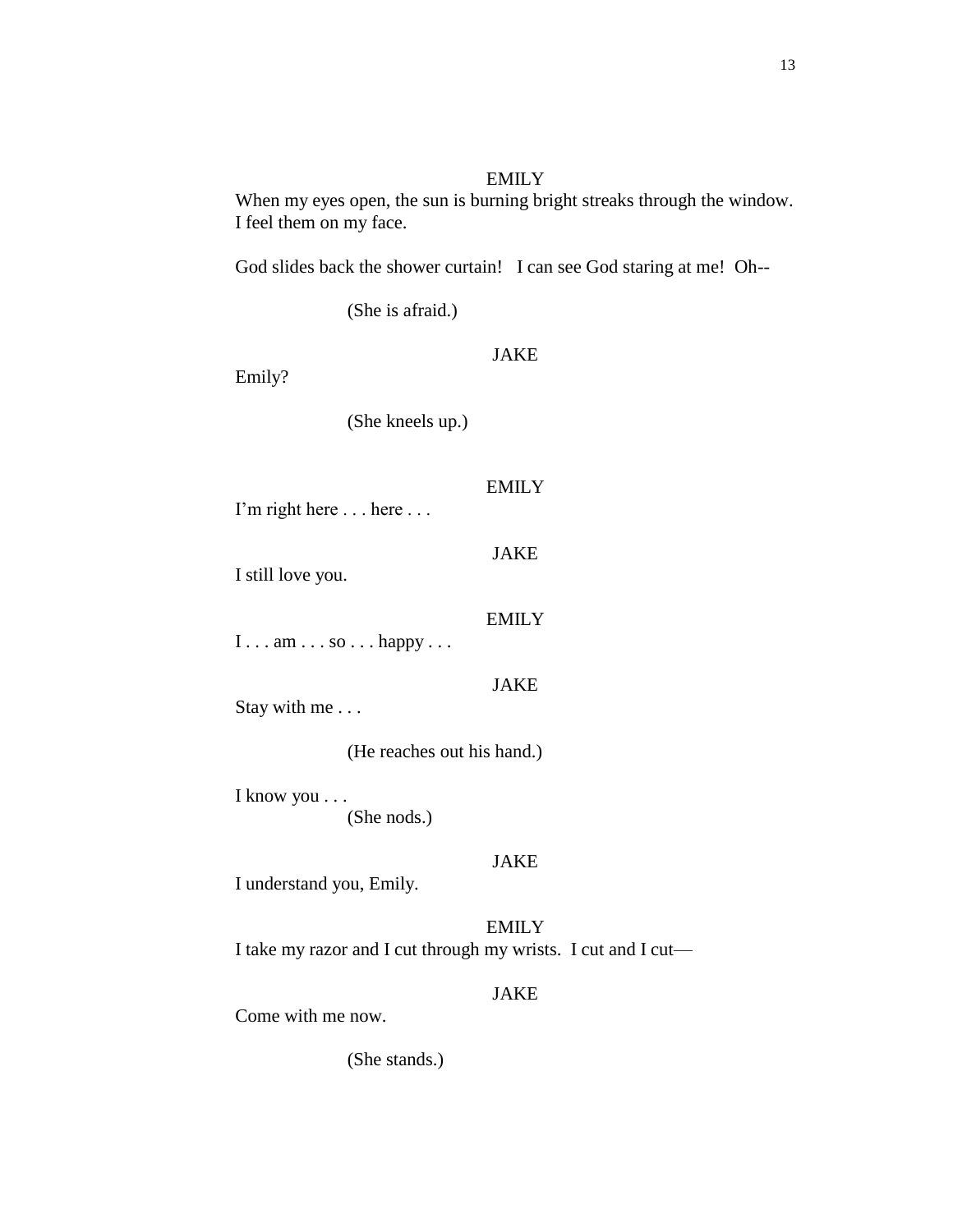## EMILY

When my eyes open, the sun is burning bright streaks through the window. I feel them on my face.

God slides back the shower curtain! I can see God staring at me! Oh--

(She is afraid.)

Emily?

JAKE

EMILY

JAKE

EMILY

(She kneels up.)

I'm right here . . . here . . .

I still love you.

 $I \ldots am \ldots so \ldots happy \ldots$ 

JAKE

Stay with me . . .

(He reaches out his hand.)

I know you . . . (She nods.)

### JAKE

I understand you, Emily.

**EMILY** I take my razor and I cut through my wrists. I cut and I cut—

## JAKE

Come with me now.

(She stands.)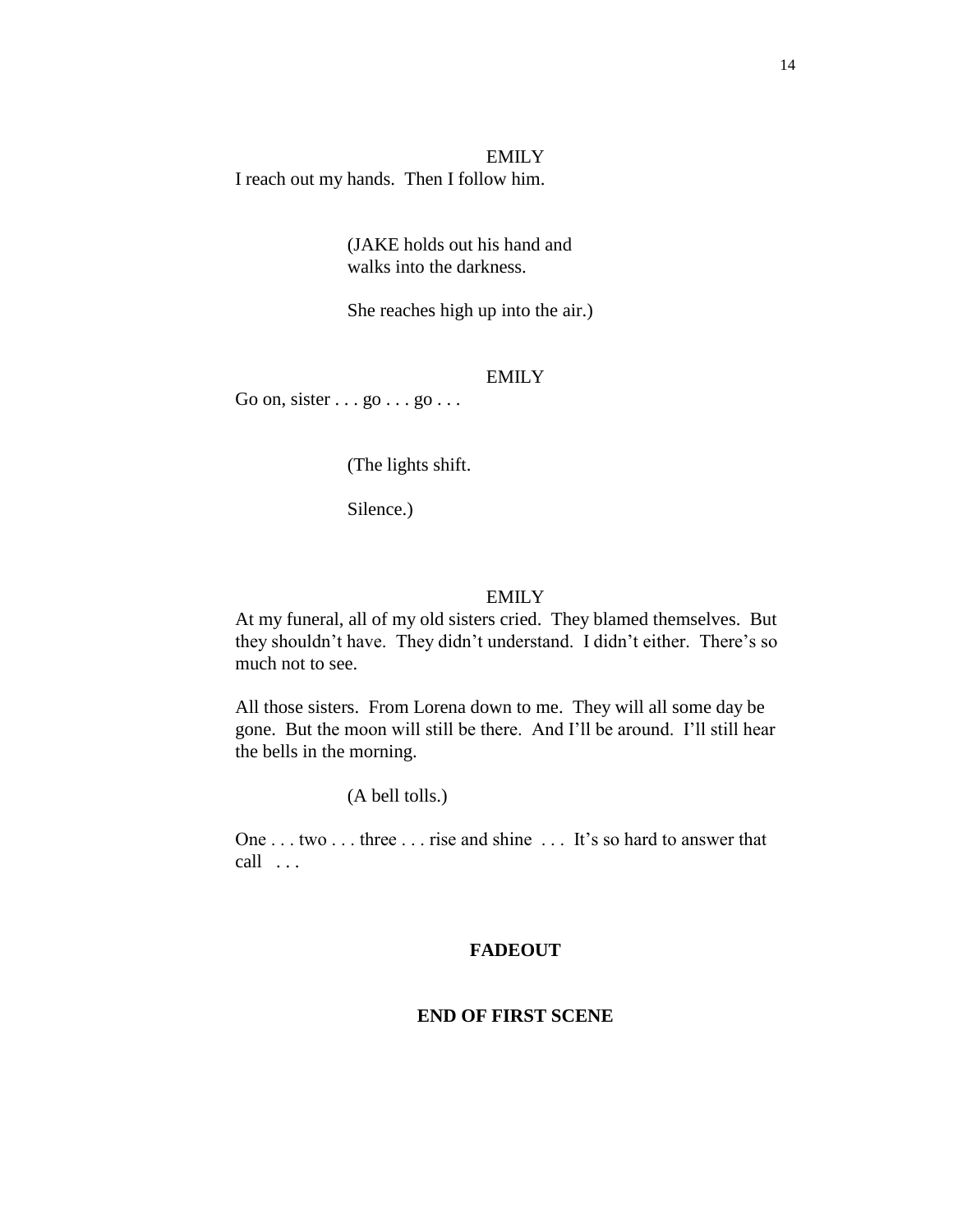EMILY I reach out my hands. Then I follow him.

> (JAKE holds out his hand and walks into the darkness.

She reaches high up into the air.)

## EMILY

Go on, sister  $\ldots$  go  $\ldots$  go  $\ldots$ 

(The lights shift.

Silence.)

#### EMILY

At my funeral, all of my old sisters cried. They blamed themselves. But they shouldn't have. They didn't understand. I didn't either. There's so much not to see.

All those sisters. From Lorena down to me. They will all some day be gone. But the moon will still be there. And I'll be around. I'll still hear the bells in the morning.

(A bell tolls.)

One . . . two . . . three . . . rise and shine . . . It's so hard to answer that call . . .

## **FADEOUT**

#### **END OF FIRST SCENE**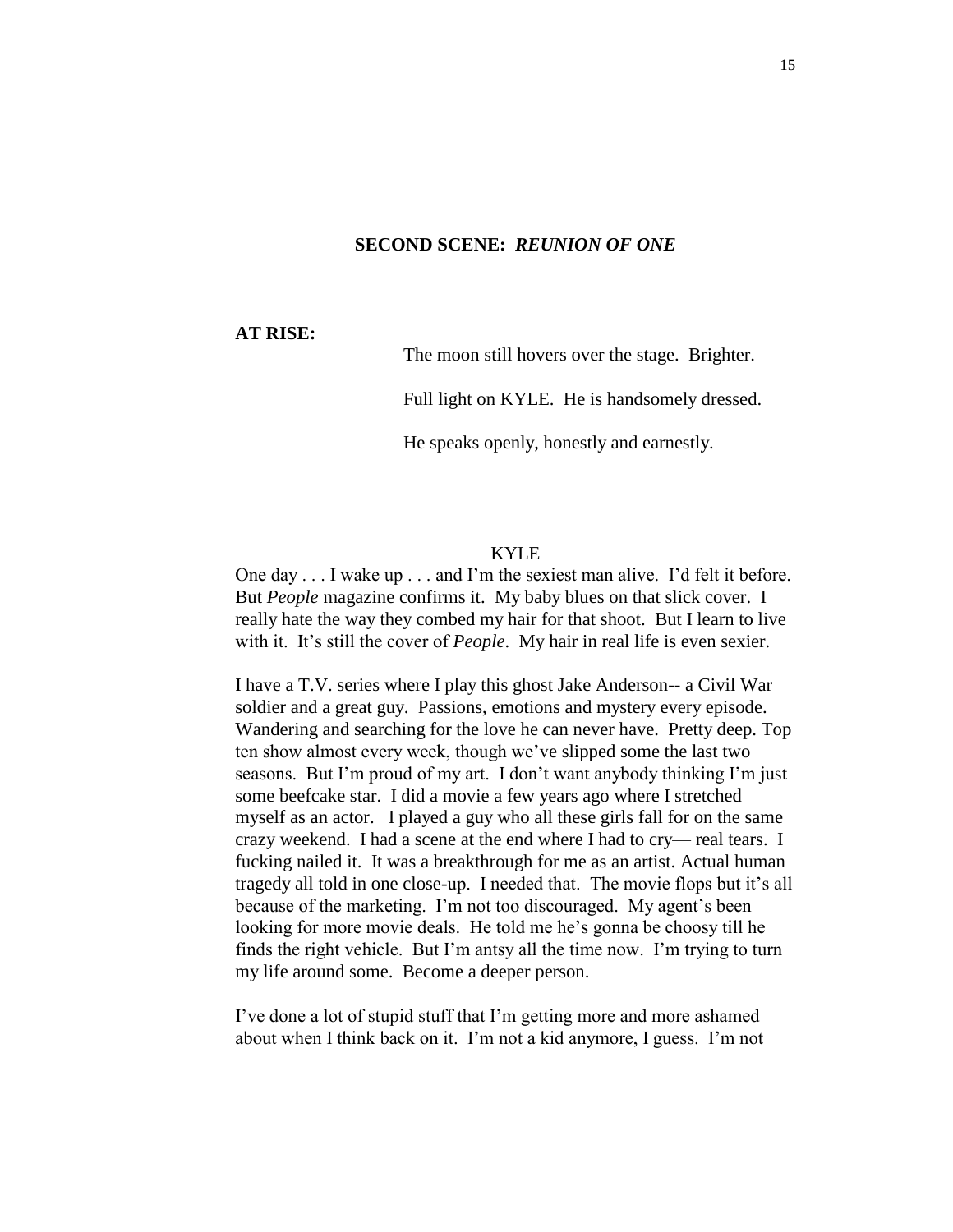#### **SECOND SCENE:** *REUNION OF ONE*

**AT RISE:**

The moon still hovers over the stage. Brighter.

Full light on KYLE. He is handsomely dressed.

He speaks openly, honestly and earnestly.

#### KYLE

One day . . . I wake up . . . and I'm the sexiest man alive. I'd felt it before. But *People* magazine confirms it. My baby blues on that slick cover. I really hate the way they combed my hair for that shoot. But I learn to live with it. It's still the cover of *People*. My hair in real life is even sexier.

I have a T.V. series where I play this ghost Jake Anderson-- a Civil War soldier and a great guy. Passions, emotions and mystery every episode. Wandering and searching for the love he can never have. Pretty deep. Top ten show almost every week, though we've slipped some the last two seasons. But I'm proud of my art. I don't want anybody thinking I'm just some beefcake star. I did a movie a few years ago where I stretched myself as an actor. I played a guy who all these girls fall for on the same crazy weekend. I had a scene at the end where I had to cry— real tears. I fucking nailed it. It was a breakthrough for me as an artist. Actual human tragedy all told in one close-up. I needed that. The movie flops but it's all because of the marketing. I'm not too discouraged. My agent's been looking for more movie deals. He told me he's gonna be choosy till he finds the right vehicle. But I'm antsy all the time now. I'm trying to turn my life around some. Become a deeper person.

I've done a lot of stupid stuff that I'm getting more and more ashamed about when I think back on it. I'm not a kid anymore, I guess. I'm not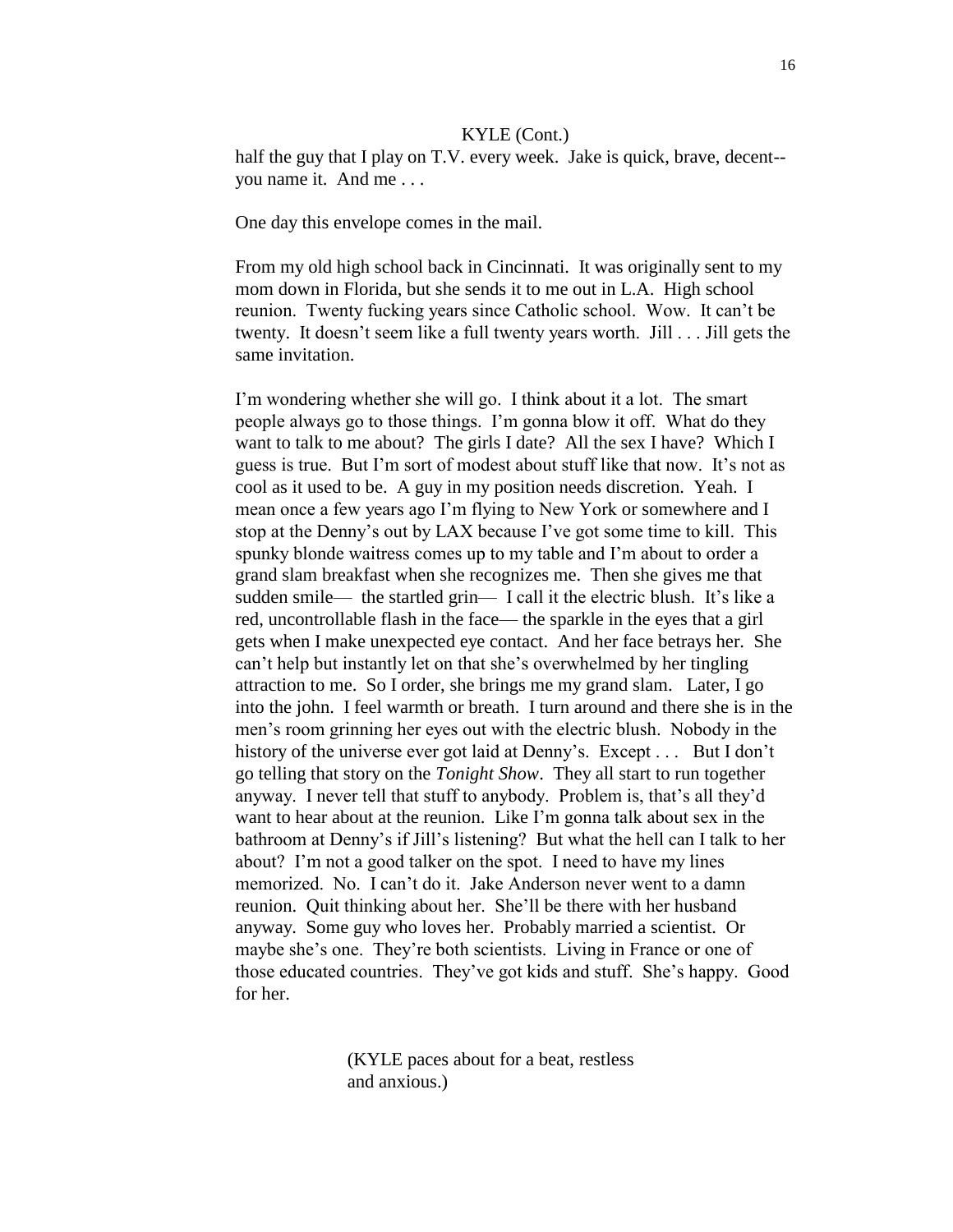half the guy that I play on T.V. every week. Jake is quick, brave, decent-you name it. And me . . .

One day this envelope comes in the mail.

From my old high school back in Cincinnati. It was originally sent to my mom down in Florida, but she sends it to me out in L.A. High school reunion. Twenty fucking years since Catholic school. Wow. It can't be twenty. It doesn't seem like a full twenty years worth. Jill . . . Jill gets the same invitation.

I'm wondering whether she will go. I think about it a lot. The smart people always go to those things. I'm gonna blow it off. What do they want to talk to me about? The girls I date? All the sex I have? Which I guess is true. But I'm sort of modest about stuff like that now. It's not as cool as it used to be. A guy in my position needs discretion. Yeah. I mean once a few years ago I'm flying to New York or somewhere and I stop at the Denny's out by LAX because I've got some time to kill. This spunky blonde waitress comes up to my table and I'm about to order a grand slam breakfast when she recognizes me. Then she gives me that sudden smile— the startled grin— I call it the electric blush. It's like a red, uncontrollable flash in the face— the sparkle in the eyes that a girl gets when I make unexpected eye contact. And her face betrays her. She can't help but instantly let on that she's overwhelmed by her tingling attraction to me. So I order, she brings me my grand slam. Later, I go into the john. I feel warmth or breath. I turn around and there she is in the men's room grinning her eyes out with the electric blush. Nobody in the history of the universe ever got laid at Denny's. Except . . . But I don't go telling that story on the *Tonight Show*. They all start to run together anyway. I never tell that stuff to anybody. Problem is, that's all they'd want to hear about at the reunion. Like I'm gonna talk about sex in the bathroom at Denny's if Jill's listening? But what the hell can I talk to her about? I'm not a good talker on the spot. I need to have my lines memorized. No. I can't do it. Jake Anderson never went to a damn reunion. Quit thinking about her. She'll be there with her husband anyway. Some guy who loves her. Probably married a scientist. Or maybe she's one. They're both scientists. Living in France or one of those educated countries. They've got kids and stuff. She's happy. Good for her.

> (KYLE paces about for a beat, restless and anxious.)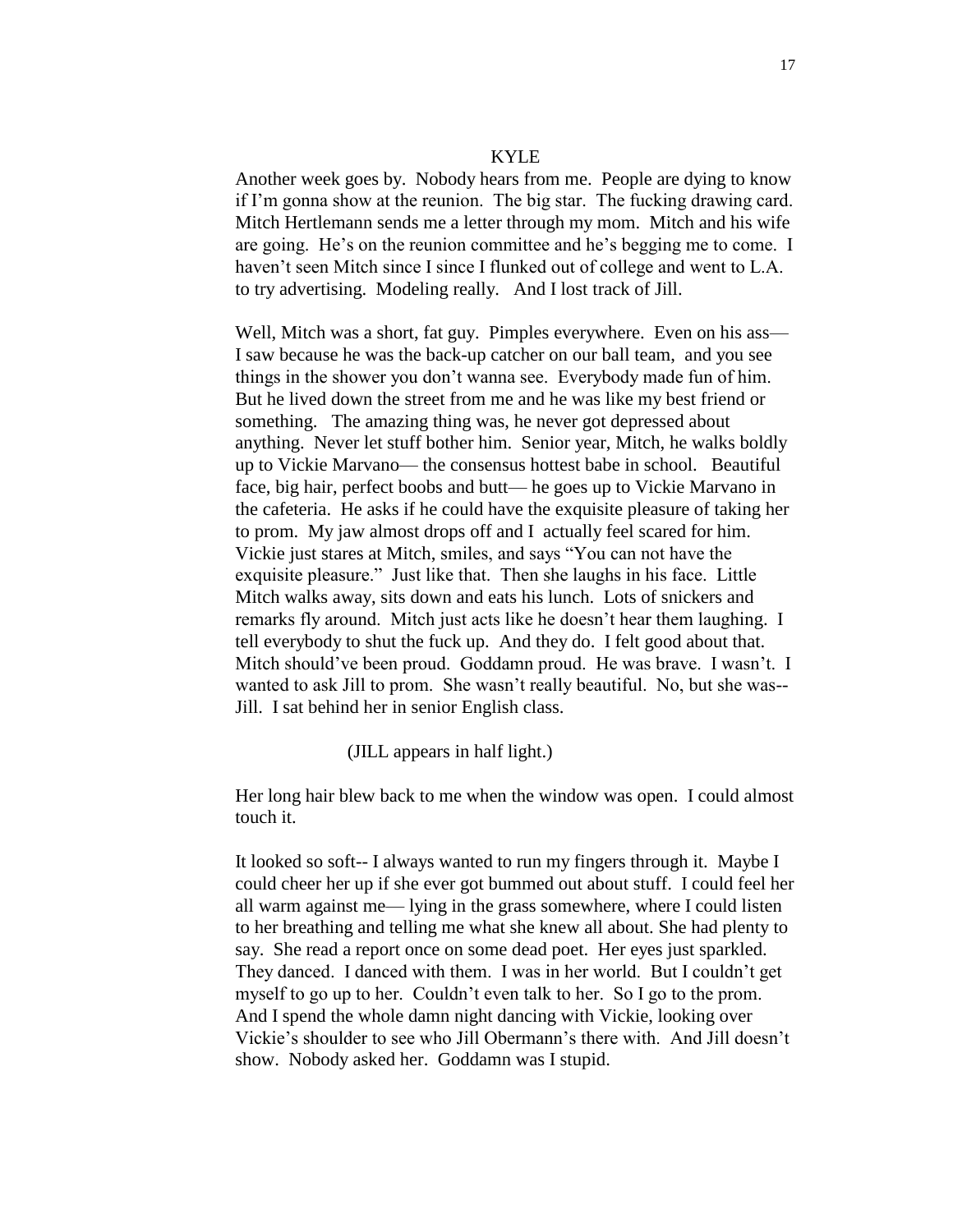#### KYLE

Another week goes by. Nobody hears from me. People are dying to know if I'm gonna show at the reunion. The big star. The fucking drawing card. Mitch Hertlemann sends me a letter through my mom. Mitch and his wife are going. He's on the reunion committee and he's begging me to come. I haven't seen Mitch since I since I flunked out of college and went to L.A. to try advertising. Modeling really. And I lost track of Jill.

Well, Mitch was a short, fat guy. Pimples everywhere. Even on his ass— I saw because he was the back-up catcher on our ball team, and you see things in the shower you don't wanna see. Everybody made fun of him. But he lived down the street from me and he was like my best friend or something. The amazing thing was, he never got depressed about anything. Never let stuff bother him. Senior year, Mitch, he walks boldly up to Vickie Marvano— the consensus hottest babe in school. Beautiful face, big hair, perfect boobs and butt— he goes up to Vickie Marvano in the cafeteria. He asks if he could have the exquisite pleasure of taking her to prom. My jaw almost drops off and I actually feel scared for him. Vickie just stares at Mitch, smiles, and says "You can not have the exquisite pleasure." Just like that. Then she laughs in his face. Little Mitch walks away, sits down and eats his lunch. Lots of snickers and remarks fly around. Mitch just acts like he doesn't hear them laughing. I tell everybody to shut the fuck up. And they do. I felt good about that. Mitch should've been proud. Goddamn proud. He was brave. I wasn't. I wanted to ask Jill to prom. She wasn't really beautiful. No, but she was-- Jill. I sat behind her in senior English class.

#### (JILL appears in half light.)

Her long hair blew back to me when the window was open. I could almost touch it.

It looked so soft-- I always wanted to run my fingers through it. Maybe I could cheer her up if she ever got bummed out about stuff. I could feel her all warm against me— lying in the grass somewhere, where I could listen to her breathing and telling me what she knew all about. She had plenty to say. She read a report once on some dead poet. Her eyes just sparkled. They danced. I danced with them. I was in her world. But I couldn't get myself to go up to her. Couldn't even talk to her. So I go to the prom. And I spend the whole damn night dancing with Vickie, looking over Vickie's shoulder to see who Jill Obermann's there with. And Jill doesn't show. Nobody asked her. Goddamn was I stupid.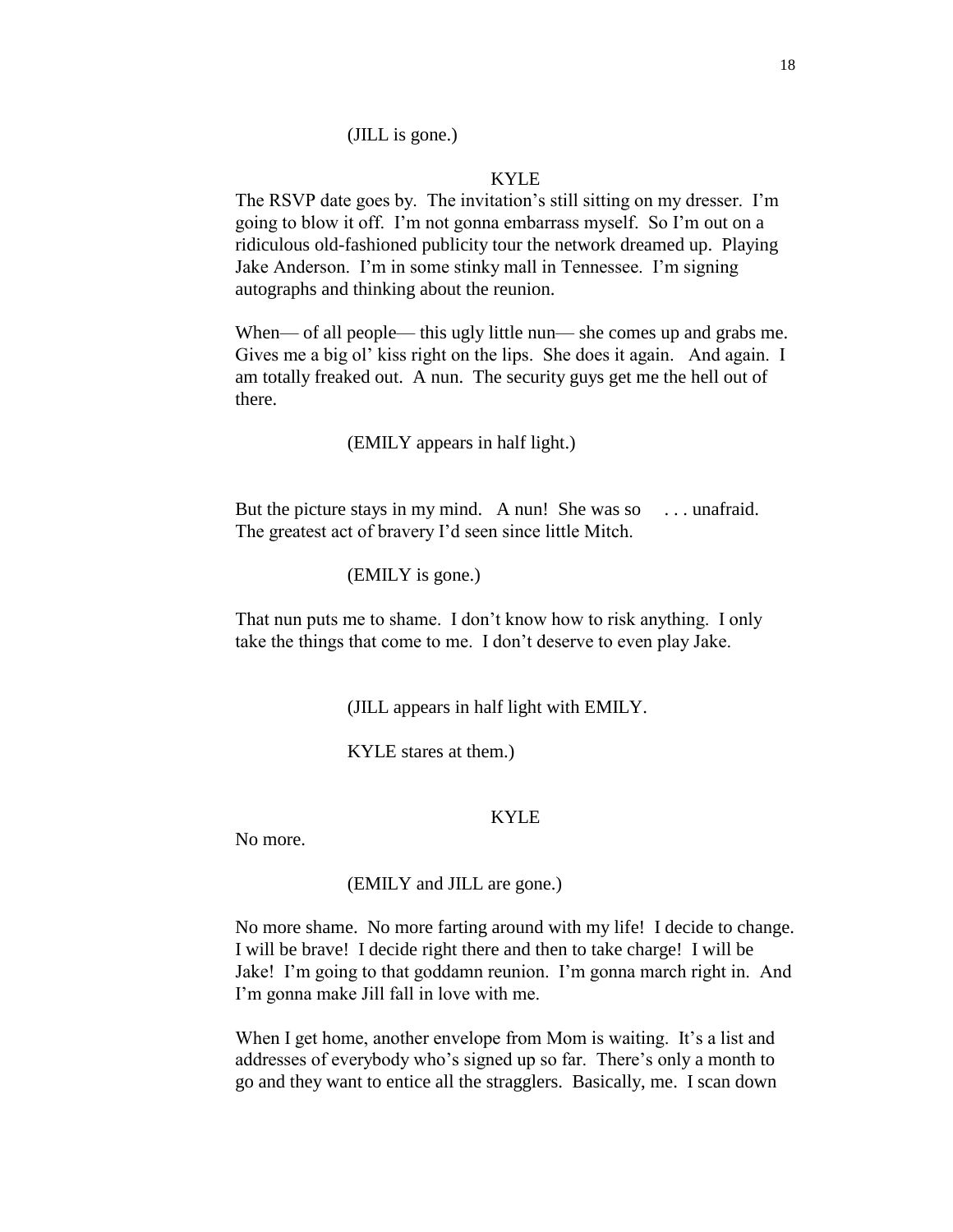## KYLE

The RSVP date goes by. The invitation's still sitting on my dresser. I'm going to blow it off. I'm not gonna embarrass myself. So I'm out on a ridiculous old-fashioned publicity tour the network dreamed up. Playing Jake Anderson. I'm in some stinky mall in Tennessee. I'm signing autographs and thinking about the reunion.

When— of all people— this ugly little nun— she comes up and grabs me. Gives me a big ol' kiss right on the lips. She does it again. And again. I am totally freaked out. A nun. The security guys get me the hell out of there.

(EMILY appears in half light.)

But the picture stays in my mind. A nun! She was so ... unafraid. The greatest act of bravery I'd seen since little Mitch.

(EMILY is gone.)

That nun puts me to shame. I don't know how to risk anything. I only take the things that come to me. I don't deserve to even play Jake.

(JILL appears in half light with EMILY.

KYLE stares at them.)

### KYLE

No more.

(EMILY and JILL are gone.)

No more shame. No more farting around with my life! I decide to change. I will be brave! I decide right there and then to take charge! I will be Jake! I'm going to that goddamn reunion. I'm gonna march right in. And I'm gonna make Jill fall in love with me.

When I get home, another envelope from Mom is waiting. It's a list and addresses of everybody who's signed up so far. There's only a month to go and they want to entice all the stragglers. Basically, me. I scan down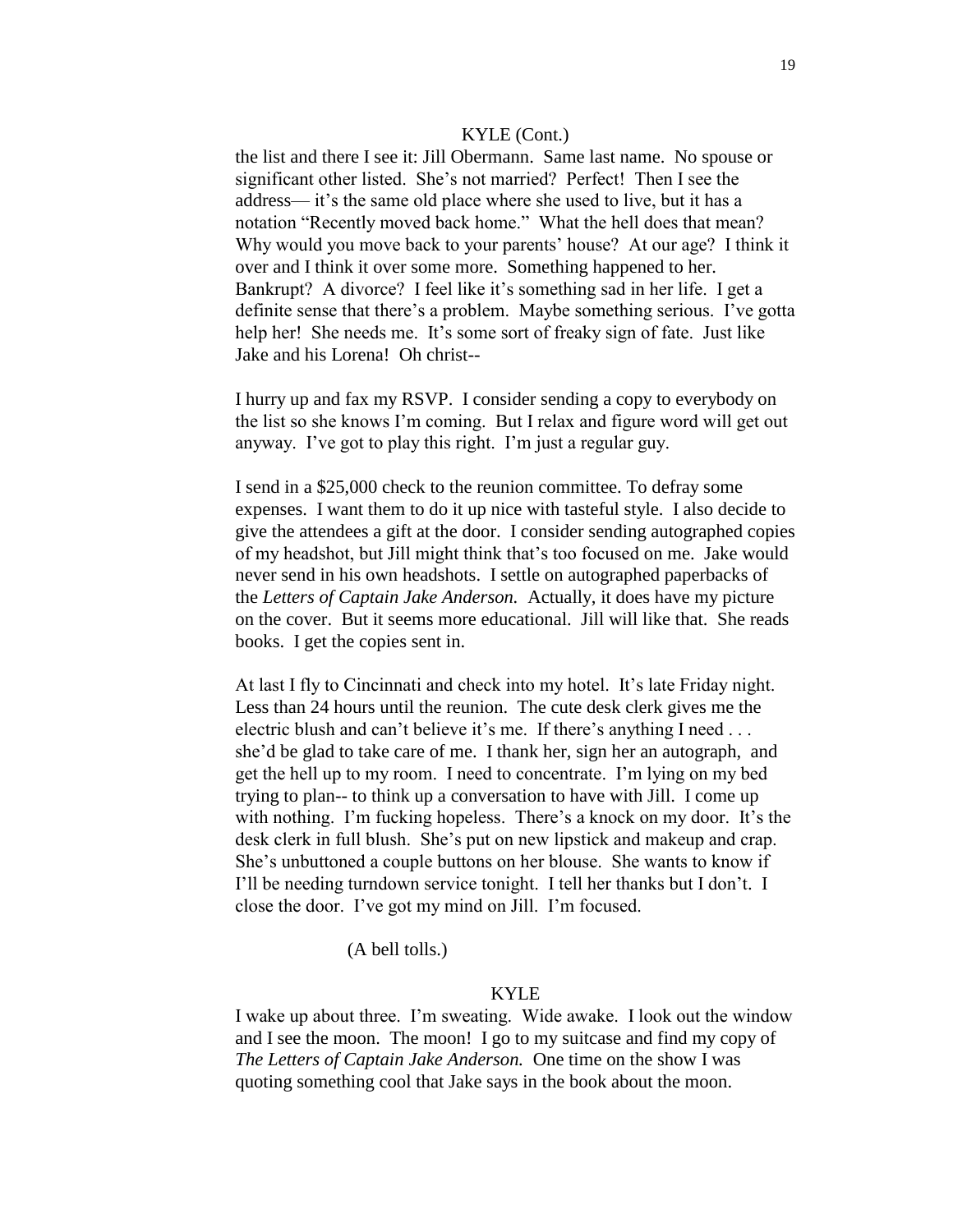the list and there I see it: Jill Obermann. Same last name. No spouse or significant other listed. She's not married? Perfect! Then I see the address— it's the same old place where she used to live, but it has a notation "Recently moved back home." What the hell does that mean? Why would you move back to your parents' house? At our age? I think it over and I think it over some more. Something happened to her. Bankrupt? A divorce? I feel like it's something sad in her life. I get a definite sense that there's a problem. Maybe something serious. I've gotta help her! She needs me. It's some sort of freaky sign of fate. Just like Jake and his Lorena! Oh christ--

I hurry up and fax my RSVP. I consider sending a copy to everybody on the list so she knows I'm coming. But I relax and figure word will get out anyway. I've got to play this right. I'm just a regular guy.

I send in a \$25,000 check to the reunion committee. To defray some expenses. I want them to do it up nice with tasteful style. I also decide to give the attendees a gift at the door. I consider sending autographed copies of my headshot, but Jill might think that's too focused on me. Jake would never send in his own headshots. I settle on autographed paperbacks of the *Letters of Captain Jake Anderson.* Actually, it does have my picture on the cover. But it seems more educational. Jill will like that. She reads books. I get the copies sent in.

At last I fly to Cincinnati and check into my hotel. It's late Friday night. Less than 24 hours until the reunion. The cute desk clerk gives me the electric blush and can't believe it's me. If there's anything I need . . . she'd be glad to take care of me. I thank her, sign her an autograph, and get the hell up to my room. I need to concentrate. I'm lying on my bed trying to plan-- to think up a conversation to have with Jill. I come up with nothing. I'm fucking hopeless. There's a knock on my door. It's the desk clerk in full blush. She's put on new lipstick and makeup and crap. She's unbuttoned a couple buttons on her blouse. She wants to know if I'll be needing turndown service tonight. I tell her thanks but I don't. I close the door. I've got my mind on Jill. I'm focused.

(A bell tolls.)

## KYLE

I wake up about three. I'm sweating. Wide awake. I look out the window and I see the moon. The moon! I go to my suitcase and find my copy of *The Letters of Captain Jake Anderson.* One time on the show I was quoting something cool that Jake says in the book about the moon.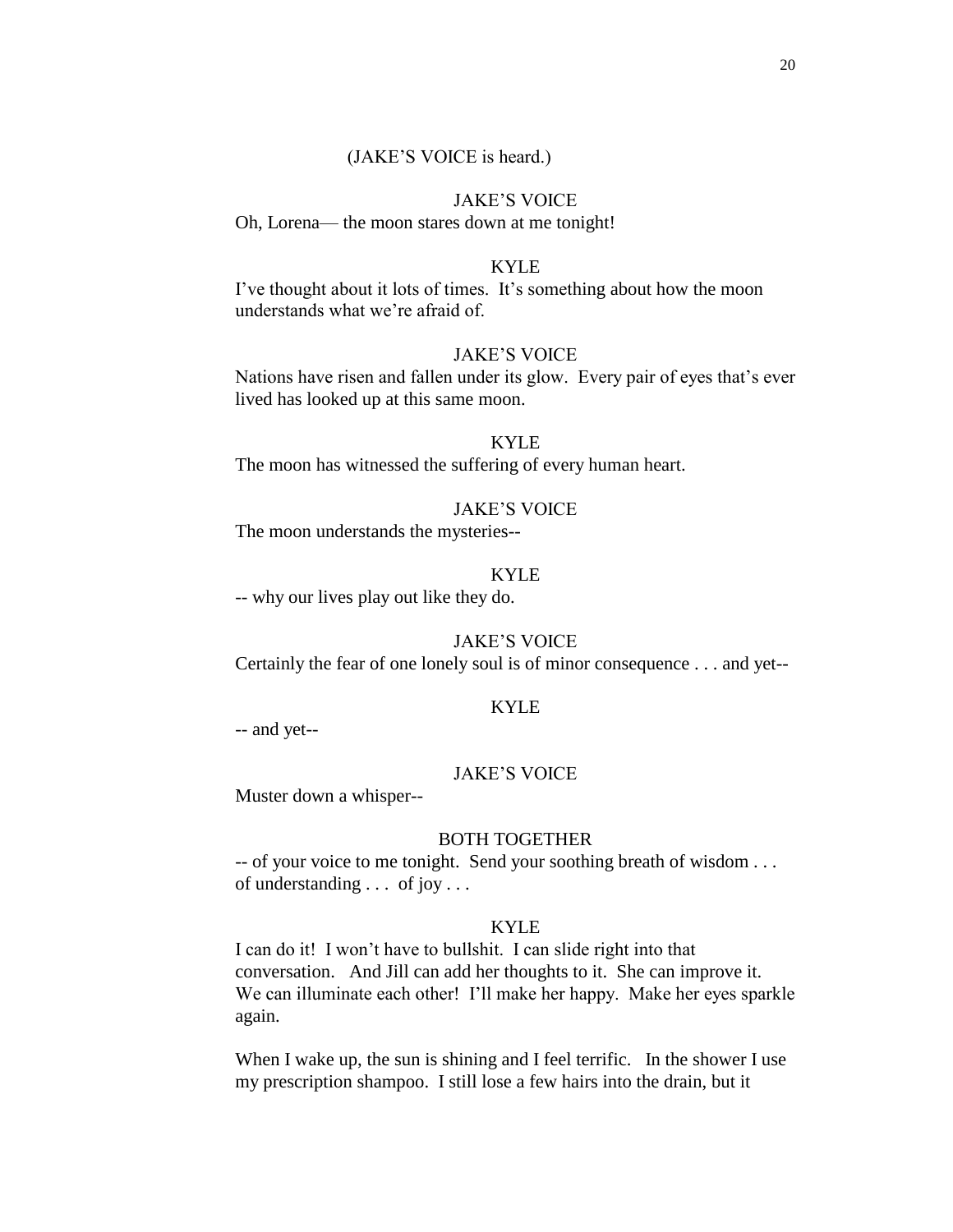### (JAKE'S VOICE is heard.)

#### JAKE'S VOICE

Oh, Lorena— the moon stares down at me tonight!

### KYLE

I've thought about it lots of times. It's something about how the moon understands what we're afraid of.

#### JAKE'S VOICE

Nations have risen and fallen under its glow. Every pair of eyes that's ever lived has looked up at this same moon.

### KYLE

The moon has witnessed the suffering of every human heart.

#### JAKE'S VOICE

The moon understands the mysteries--

## KYLE

-- why our lives play out like they do.

## JAKE'S VOICE

Certainly the fear of one lonely soul is of minor consequence . . . and yet--

#### KYLE

-- and yet--

#### JAKE'S VOICE

Muster down a whisper--

### BOTH TOGETHER

-- of your voice to me tonight. Send your soothing breath of wisdom . . . of understanding . . . of joy . . .

### KYLE

I can do it! I won't have to bullshit. I can slide right into that conversation. And Jill can add her thoughts to it. She can improve it. We can illuminate each other! I'll make her happy. Make her eyes sparkle again.

When I wake up, the sun is shining and I feel terrific. In the shower I use my prescription shampoo. I still lose a few hairs into the drain, but it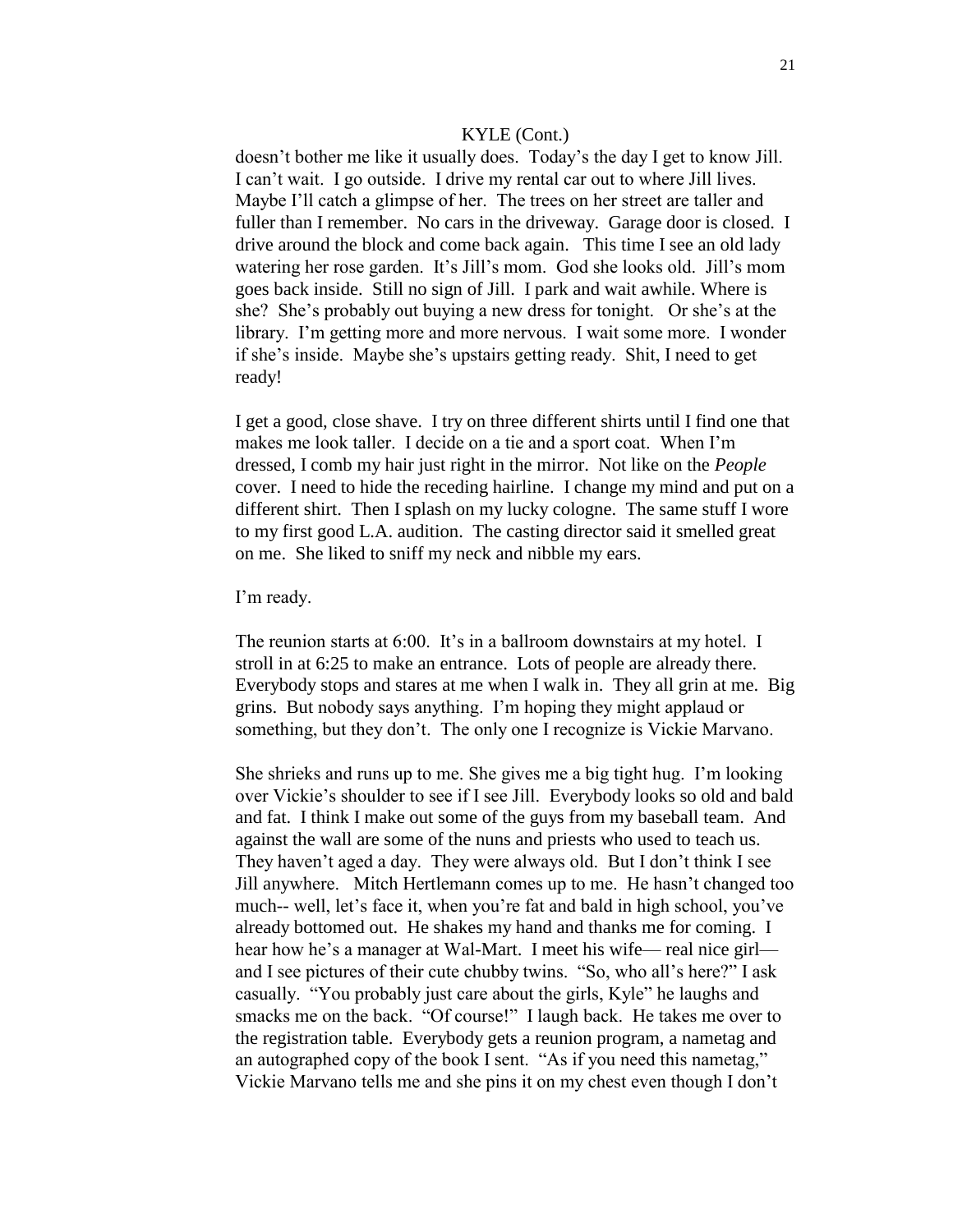doesn't bother me like it usually does. Today's the day I get to know Jill. I can't wait. I go outside. I drive my rental car out to where Jill lives. Maybe I'll catch a glimpse of her. The trees on her street are taller and fuller than I remember. No cars in the driveway. Garage door is closed. I drive around the block and come back again. This time I see an old lady watering her rose garden. It's Jill's mom. God she looks old. Jill's mom goes back inside. Still no sign of Jill. I park and wait awhile. Where is she? She's probably out buying a new dress for tonight. Or she's at the library. I'm getting more and more nervous. I wait some more. I wonder if she's inside. Maybe she's upstairs getting ready. Shit, I need to get ready!

I get a good, close shave. I try on three different shirts until I find one that makes me look taller. I decide on a tie and a sport coat. When I'm dressed, I comb my hair just right in the mirror. Not like on the *People* cover. I need to hide the receding hairline. I change my mind and put on a different shirt. Then I splash on my lucky cologne. The same stuff I wore to my first good L.A. audition. The casting director said it smelled great on me. She liked to sniff my neck and nibble my ears.

#### I'm ready.

The reunion starts at 6:00. It's in a ballroom downstairs at my hotel. I stroll in at 6:25 to make an entrance. Lots of people are already there. Everybody stops and stares at me when I walk in. They all grin at me. Big grins. But nobody says anything. I'm hoping they might applaud or something, but they don't. The only one I recognize is Vickie Marvano.

She shrieks and runs up to me. She gives me a big tight hug. I'm looking over Vickie's shoulder to see if I see Jill. Everybody looks so old and bald and fat. I think I make out some of the guys from my baseball team. And against the wall are some of the nuns and priests who used to teach us. They haven't aged a day. They were always old. But I don't think I see Jill anywhere. Mitch Hertlemann comes up to me. He hasn't changed too much-- well, let's face it, when you're fat and bald in high school, you've already bottomed out. He shakes my hand and thanks me for coming. I hear how he's a manager at Wal-Mart. I meet his wife— real nice girl and I see pictures of their cute chubby twins. "So, who all's here?" I ask casually. "You probably just care about the girls, Kyle" he laughs and smacks me on the back. "Of course!" I laugh back. He takes me over to the registration table. Everybody gets a reunion program, a nametag and an autographed copy of the book I sent. "As if you need this nametag," Vickie Marvano tells me and she pins it on my chest even though I don't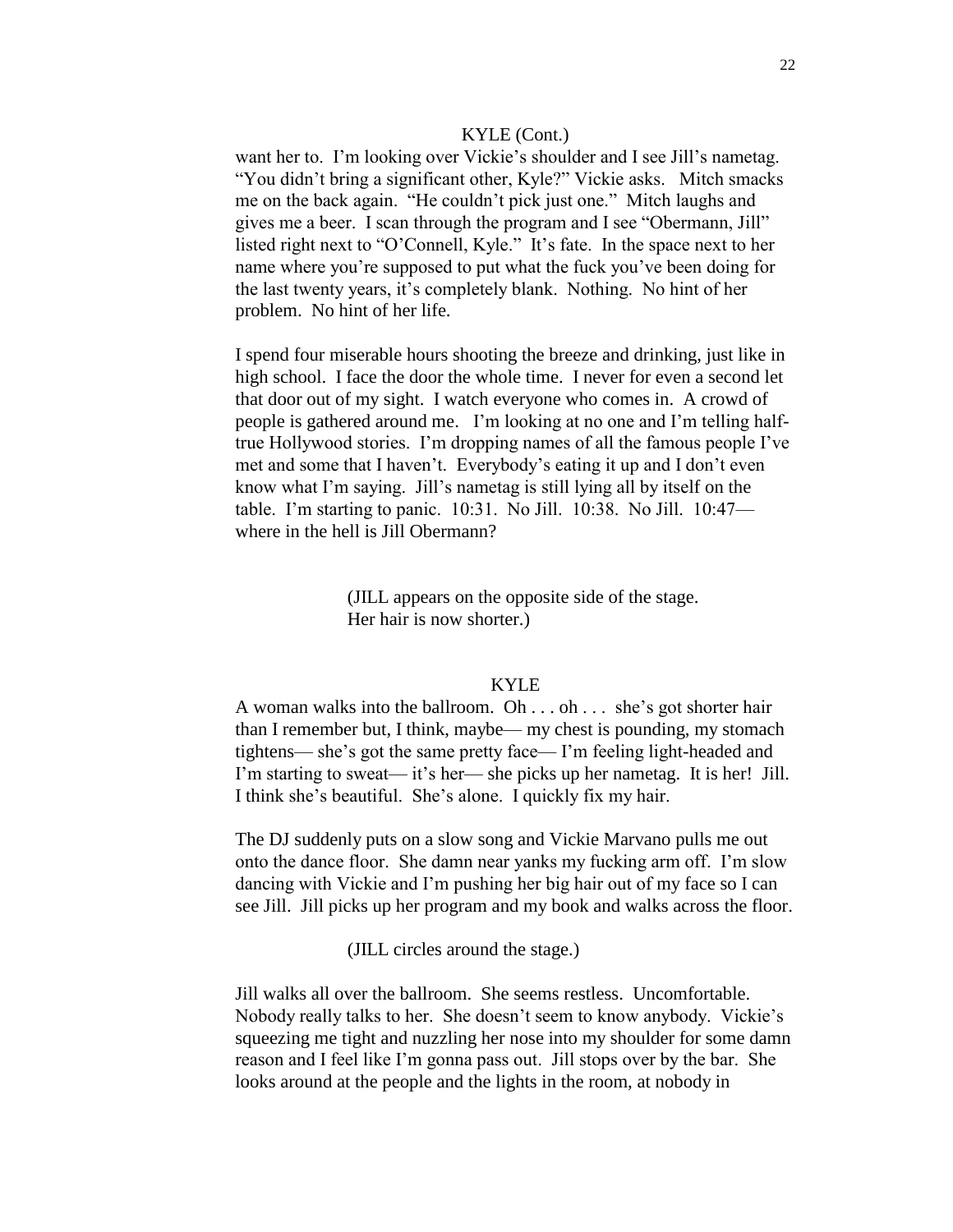want her to. I'm looking over Vickie's shoulder and I see Jill's nametag. "You didn't bring a significant other, Kyle?" Vickie asks. Mitch smacks me on the back again. "He couldn't pick just one." Mitch laughs and gives me a beer. I scan through the program and I see "Obermann, Jill" listed right next to "O'Connell, Kyle." It's fate. In the space next to her name where you're supposed to put what the fuck you've been doing for the last twenty years, it's completely blank. Nothing. No hint of her problem. No hint of her life.

I spend four miserable hours shooting the breeze and drinking, just like in high school. I face the door the whole time. I never for even a second let that door out of my sight. I watch everyone who comes in. A crowd of people is gathered around me. I'm looking at no one and I'm telling halftrue Hollywood stories. I'm dropping names of all the famous people I've met and some that I haven't. Everybody's eating it up and I don't even know what I'm saying. Jill's nametag is still lying all by itself on the table. I'm starting to panic. 10:31. No Jill. 10:38. No Jill. 10:47 where in the hell is Jill Obermann?

> (JILL appears on the opposite side of the stage. Her hair is now shorter.)

## KYLE

A woman walks into the ballroom. Oh . . . oh . . . she's got shorter hair than I remember but, I think, maybe— my chest is pounding, my stomach tightens— she's got the same pretty face— I'm feeling light-headed and I'm starting to sweat— it's her— she picks up her nametag. It is her! Jill. I think she's beautiful. She's alone. I quickly fix my hair.

The DJ suddenly puts on a slow song and Vickie Marvano pulls me out onto the dance floor. She damn near yanks my fucking arm off. I'm slow dancing with Vickie and I'm pushing her big hair out of my face so I can see Jill. Jill picks up her program and my book and walks across the floor.

(JILL circles around the stage.)

Jill walks all over the ballroom. She seems restless. Uncomfortable. Nobody really talks to her. She doesn't seem to know anybody. Vickie's squeezing me tight and nuzzling her nose into my shoulder for some damn reason and I feel like I'm gonna pass out. Jill stops over by the bar. She looks around at the people and the lights in the room, at nobody in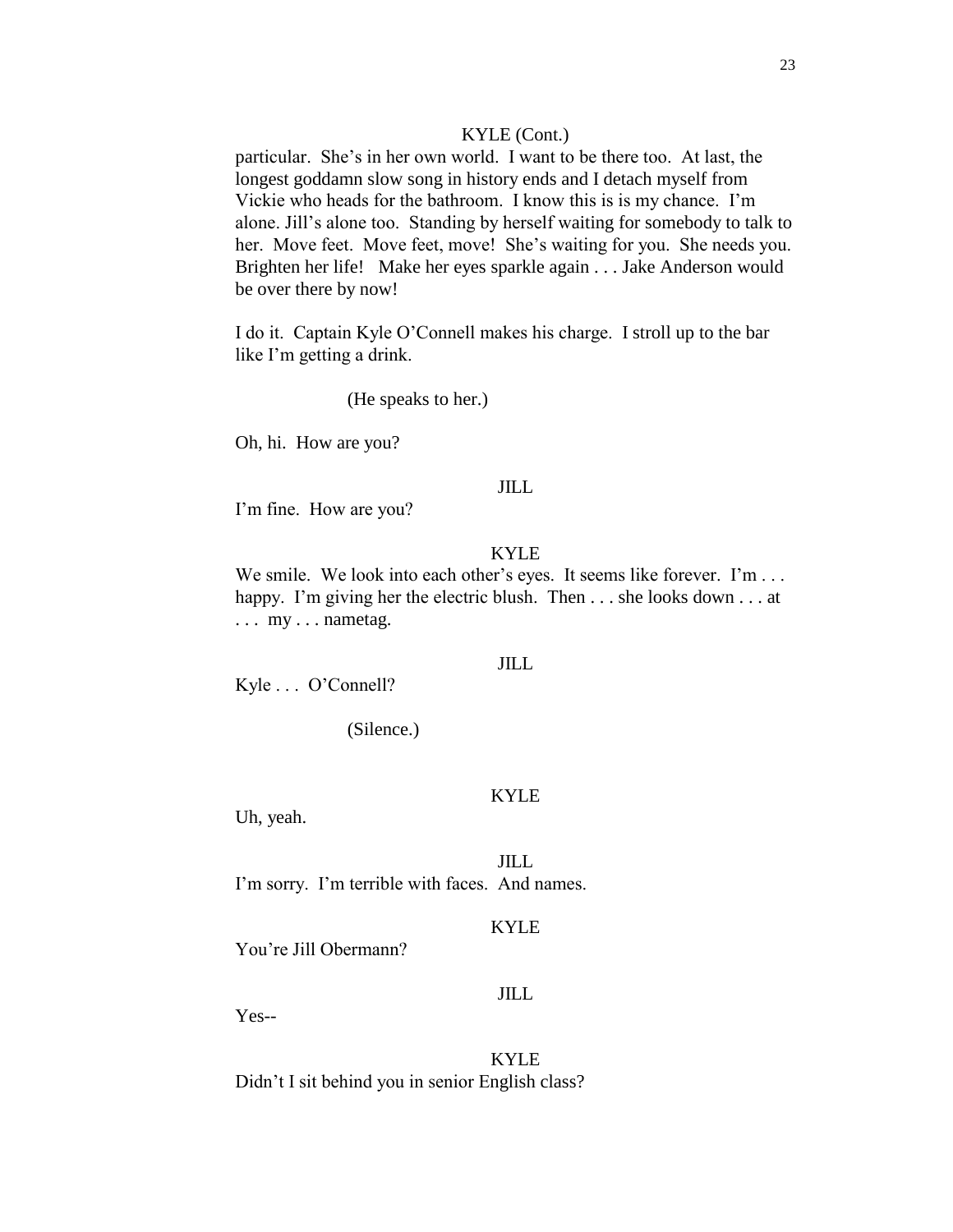particular. She's in her own world. I want to be there too. At last, the longest goddamn slow song in history ends and I detach myself from Vickie who heads for the bathroom. I know this is is my chance. I'm alone. Jill's alone too. Standing by herself waiting for somebody to talk to her. Move feet. Move feet, move! She's waiting for you. She needs you. Brighten her life! Make her eyes sparkle again . . . Jake Anderson would be over there by now!

I do it. Captain Kyle O'Connell makes his charge. I stroll up to the bar like I'm getting a drink.

(He speaks to her.)

Oh, hi. How are you?

## JILL

I'm fine. How are you?

### KYLE

We smile. We look into each other's eyes. It seems like forever. I'm ... happy. I'm giving her the electric blush. Then . . . she looks down . . . at . . . my . . . nametag.

#### JILL

Kyle . . . O'Connell?

(Silence.)

### KYLE

Uh, yeah.

JILL I'm sorry. I'm terrible with faces. And names.

## KYLE

You're Jill Obermann?

## JILL

Yes--

KYLE Didn't I sit behind you in senior English class?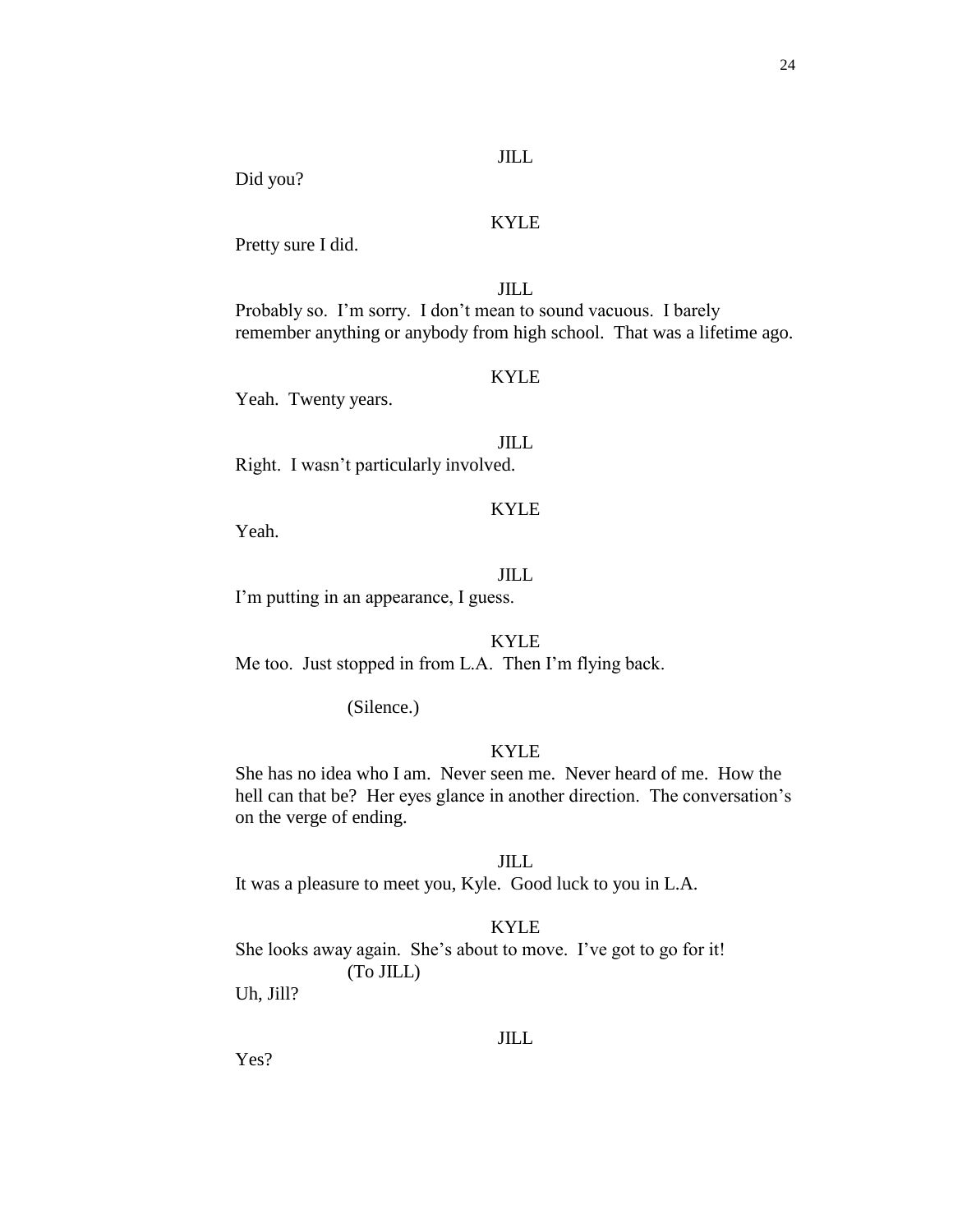## JILL

## Did you?

## KYLE

Pretty sure I did.

## JILL

Probably so. I'm sorry. I don't mean to sound vacuous. I barely remember anything or anybody from high school. That was a lifetime ago.

## KYLE

Yeah. Twenty years.

## JILL

Right. I wasn't particularly involved.

# KYLE

Yeah.

## JILL

I'm putting in an appearance, I guess.

## KYLE

Me too. Just stopped in from L.A. Then I'm flying back.

(Silence.)

### KYLE

She has no idea who I am. Never seen me. Never heard of me. How the hell can that be? Her eyes glance in another direction. The conversation's on the verge of ending.

#### JILL

It was a pleasure to meet you, Kyle. Good luck to you in L.A.

### KYLE

She looks away again. She's about to move. I've got to go for it! (To JILL)

Uh, Jill?

### JILL

Yes?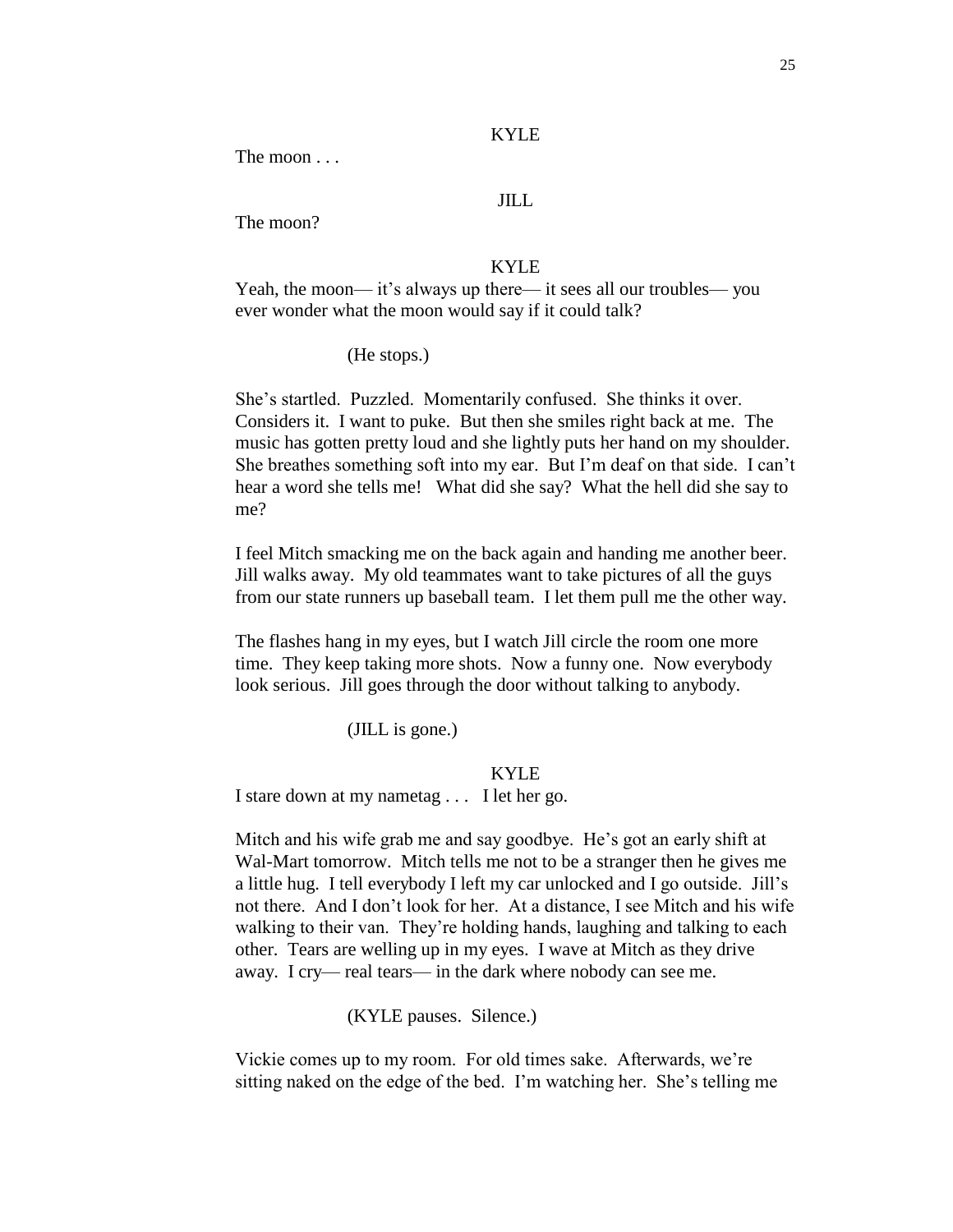#### KYLE

The moon . . .

## JILL

The moon?

### KYLE

Yeah, the moon— it's always up there— it sees all our troubles— you ever wonder what the moon would say if it could talk?

(He stops.)

She's startled. Puzzled. Momentarily confused. She thinks it over. Considers it. I want to puke. But then she smiles right back at me. The music has gotten pretty loud and she lightly puts her hand on my shoulder. She breathes something soft into my ear. But I'm deaf on that side. I can't hear a word she tells me! What did she say? What the hell did she say to me?

I feel Mitch smacking me on the back again and handing me another beer. Jill walks away. My old teammates want to take pictures of all the guys from our state runners up baseball team. I let them pull me the other way.

The flashes hang in my eyes, but I watch Jill circle the room one more time. They keep taking more shots. Now a funny one. Now everybody look serious. Jill goes through the door without talking to anybody.

(JILL is gone.)

#### KYLE

I stare down at my nametag . . . I let her go.

Mitch and his wife grab me and say goodbye. He's got an early shift at Wal-Mart tomorrow. Mitch tells me not to be a stranger then he gives me a little hug. I tell everybody I left my car unlocked and I go outside. Jill's not there. And I don't look for her. At a distance, I see Mitch and his wife walking to their van. They're holding hands, laughing and talking to each other. Tears are welling up in my eyes. I wave at Mitch as they drive away. I cry— real tears— in the dark where nobody can see me.

(KYLE pauses. Silence.)

Vickie comes up to my room. For old times sake. Afterwards, we're sitting naked on the edge of the bed. I'm watching her. She's telling me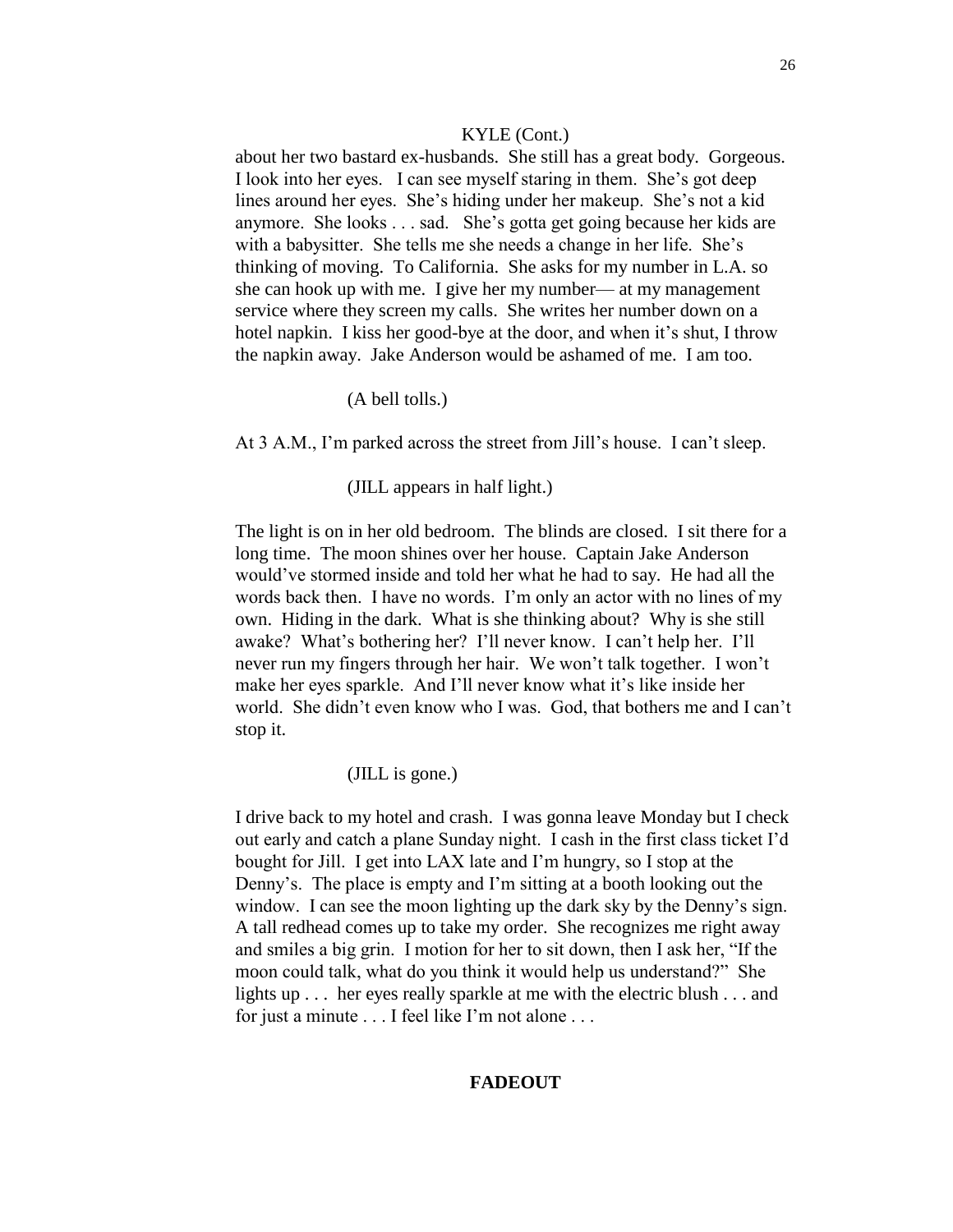about her two bastard ex-husbands. She still has a great body. Gorgeous. I look into her eyes. I can see myself staring in them. She's got deep lines around her eyes. She's hiding under her makeup. She's not a kid anymore. She looks . . . sad. She's gotta get going because her kids are with a babysitter. She tells me she needs a change in her life. She's thinking of moving. To California. She asks for my number in L.A. so she can hook up with me. I give her my number— at my management service where they screen my calls. She writes her number down on a hotel napkin. I kiss her good-bye at the door, and when it's shut, I throw the napkin away. Jake Anderson would be ashamed of me. I am too.

#### (A bell tolls.)

At 3 A.M., I'm parked across the street from Jill's house. I can't sleep.

## (JILL appears in half light.)

The light is on in her old bedroom. The blinds are closed. I sit there for a long time. The moon shines over her house. Captain Jake Anderson would've stormed inside and told her what he had to say. He had all the words back then. I have no words. I'm only an actor with no lines of my own. Hiding in the dark. What is she thinking about? Why is she still awake? What's bothering her? I'll never know. I can't help her. I'll never run my fingers through her hair. We won't talk together. I won't make her eyes sparkle. And I'll never know what it's like inside her world. She didn't even know who I was. God, that bothers me and I can't stop it.

## (JILL is gone.)

I drive back to my hotel and crash. I was gonna leave Monday but I check out early and catch a plane Sunday night. I cash in the first class ticket I'd bought for Jill. I get into LAX late and I'm hungry, so I stop at the Denny's. The place is empty and I'm sitting at a booth looking out the window. I can see the moon lighting up the dark sky by the Denny's sign. A tall redhead comes up to take my order. She recognizes me right away and smiles a big grin. I motion for her to sit down, then I ask her, "If the moon could talk, what do you think it would help us understand?" She lights up . . . her eyes really sparkle at me with the electric blush . . . and for just a minute . . . I feel like I'm not alone . . .

### **FADEOUT**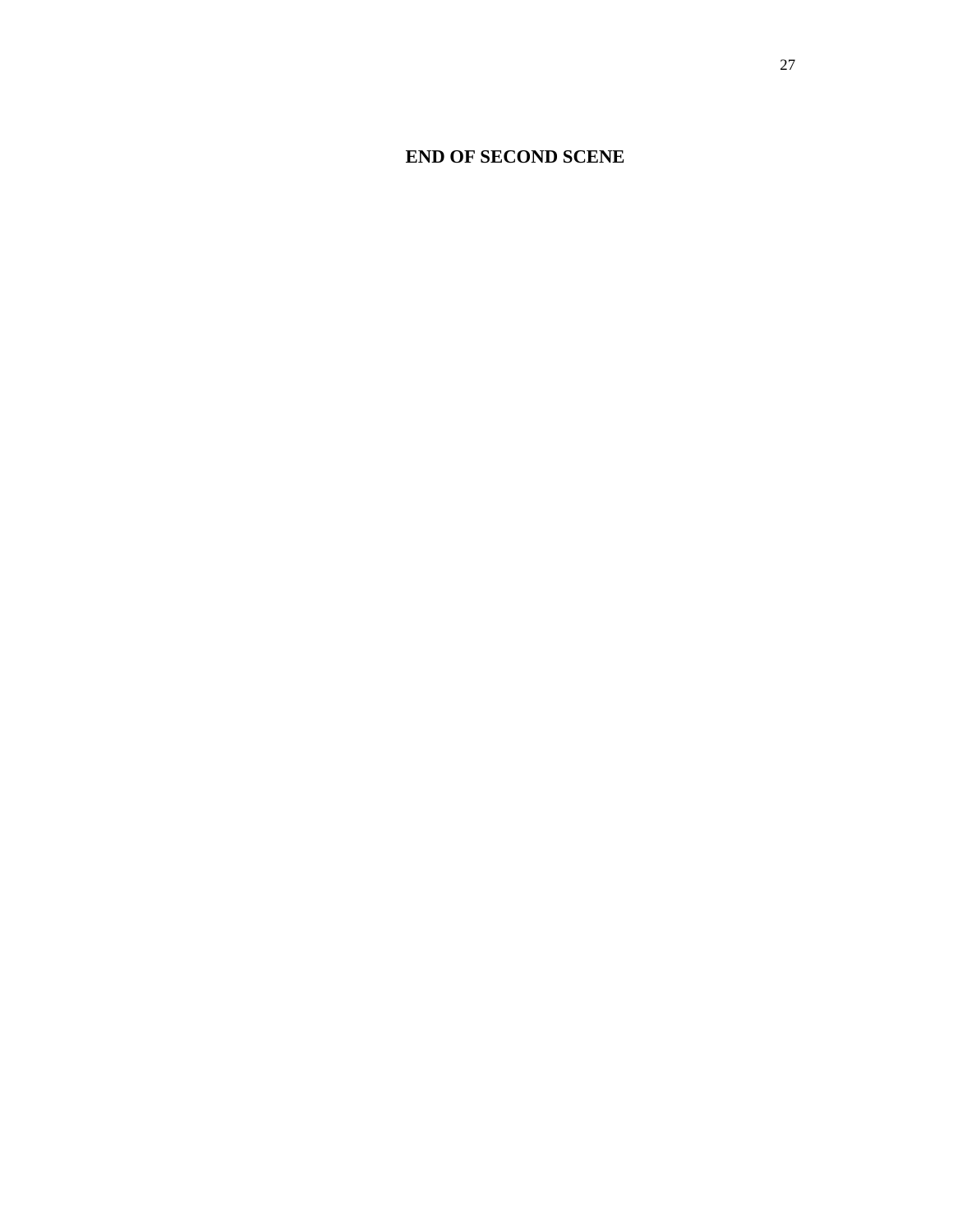# **END OF SECOND SCENE**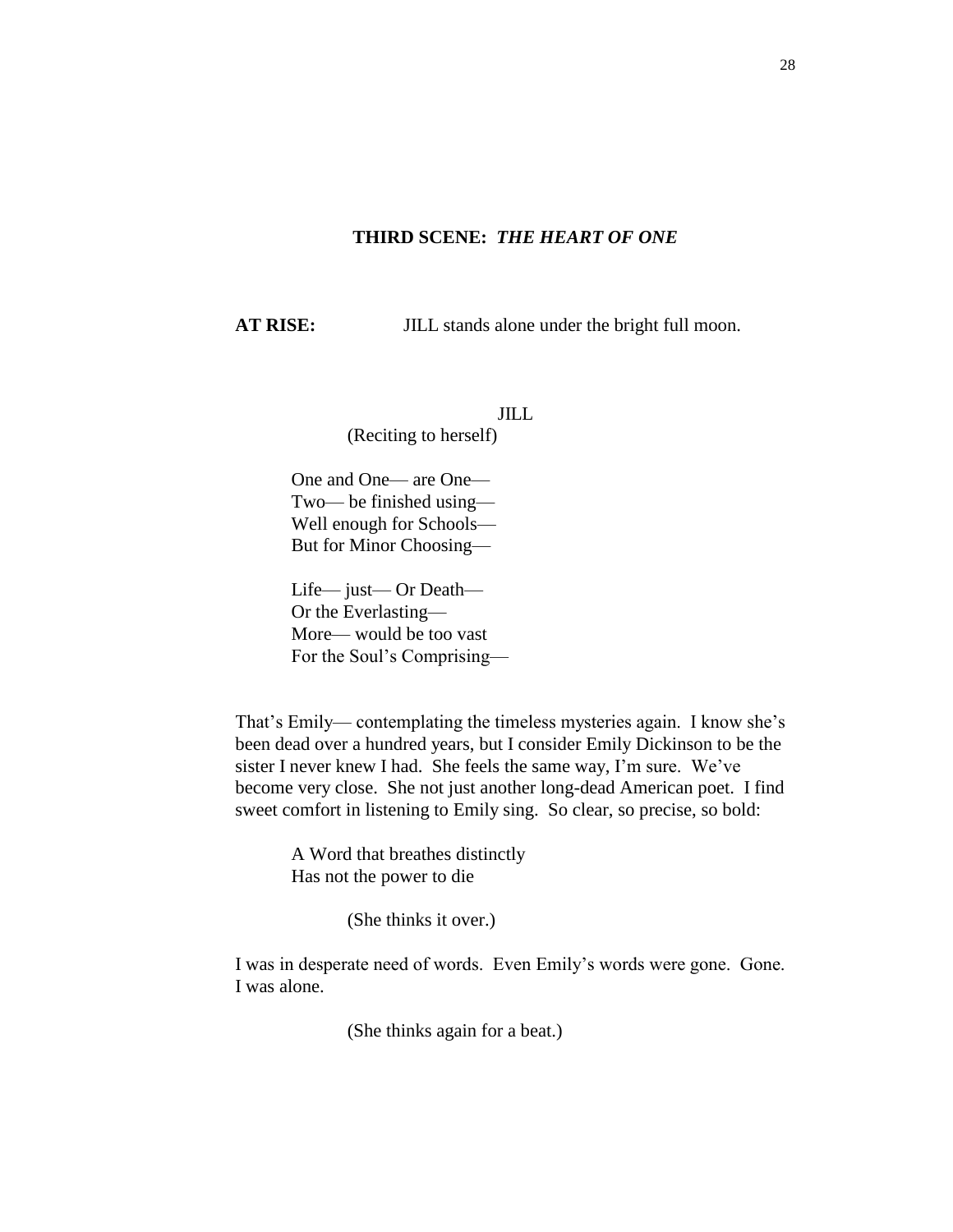#### **THIRD SCENE:** *THE HEART OF ONE*

**AT RISE:** JILL stands alone under the bright full moon.

JILL

(Reciting to herself)

One and One— are One— Two— be finished using— Well enough for Schools— But for Minor Choosing—

Life— just— Or Death— Or the Everlasting— More— would be too vast For the Soul's Comprising—

That's Emily— contemplating the timeless mysteries again. I know she's been dead over a hundred years, but I consider Emily Dickinson to be the sister I never knew I had. She feels the same way, I'm sure. We've become very close. She not just another long-dead American poet. I find sweet comfort in listening to Emily sing. So clear, so precise, so bold:

> A Word that breathes distinctly Has not the power to die

> > (She thinks it over.)

I was in desperate need of words. Even Emily's words were gone. Gone. I was alone.

(She thinks again for a beat.)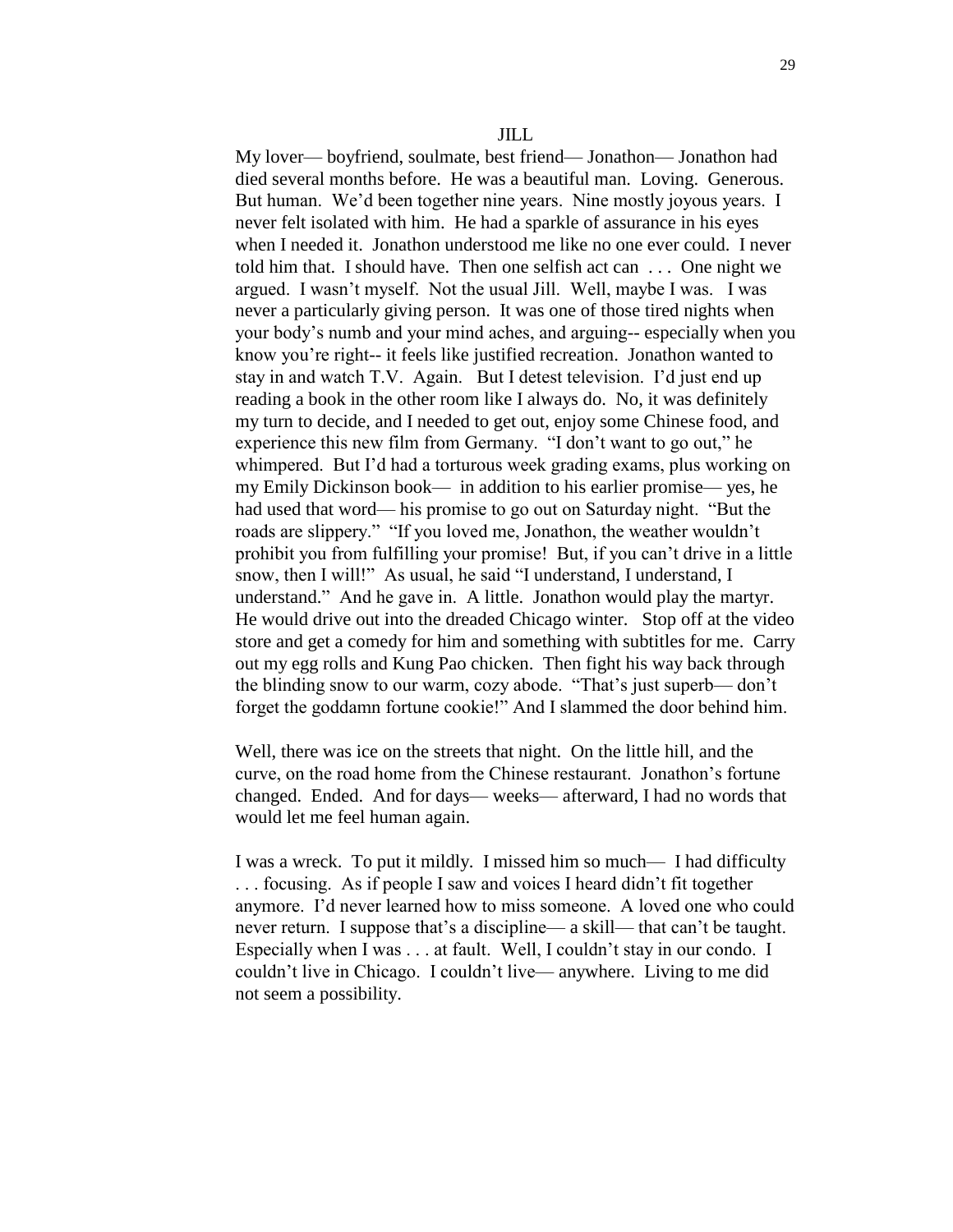My lover— boyfriend, soulmate, best friend— Jonathon— Jonathon had died several months before. He was a beautiful man. Loving. Generous. But human. We'd been together nine years. Nine mostly joyous years. I never felt isolated with him. He had a sparkle of assurance in his eyes when I needed it. Jonathon understood me like no one ever could. I never told him that. I should have. Then one selfish act can . . . One night we argued. I wasn't myself. Not the usual Jill. Well, maybe I was. I was never a particularly giving person. It was one of those tired nights when your body's numb and your mind aches, and arguing-- especially when you know you're right-- it feels like justified recreation. Jonathon wanted to stay in and watch T.V. Again. But I detest television. I'd just end up reading a book in the other room like I always do. No, it was definitely my turn to decide, and I needed to get out, enjoy some Chinese food, and experience this new film from Germany. "I don't want to go out," he whimpered. But I'd had a torturous week grading exams, plus working on my Emily Dickinson book— in addition to his earlier promise— yes, he had used that word— his promise to go out on Saturday night. "But the roads are slippery." "If you loved me, Jonathon, the weather wouldn't prohibit you from fulfilling your promise! But, if you can't drive in a little snow, then I will!" As usual, he said "I understand, I understand, I understand." And he gave in. A little. Jonathon would play the martyr. He would drive out into the dreaded Chicago winter. Stop off at the video store and get a comedy for him and something with subtitles for me. Carry out my egg rolls and Kung Pao chicken. Then fight his way back through the blinding snow to our warm, cozy abode. "That's just superb— don't forget the goddamn fortune cookie!" And I slammed the door behind him.

Well, there was ice on the streets that night. On the little hill, and the curve, on the road home from the Chinese restaurant. Jonathon's fortune changed. Ended. And for days— weeks— afterward, I had no words that would let me feel human again.

I was a wreck. To put it mildly. I missed him so much— I had difficulty . . . focusing. As if people I saw and voices I heard didn't fit together anymore. I'd never learned how to miss someone. A loved one who could never return. I suppose that's a discipline— a skill— that can't be taught. Especially when I was . . . at fault. Well, I couldn't stay in our condo. I couldn't live in Chicago. I couldn't live— anywhere. Living to me did not seem a possibility.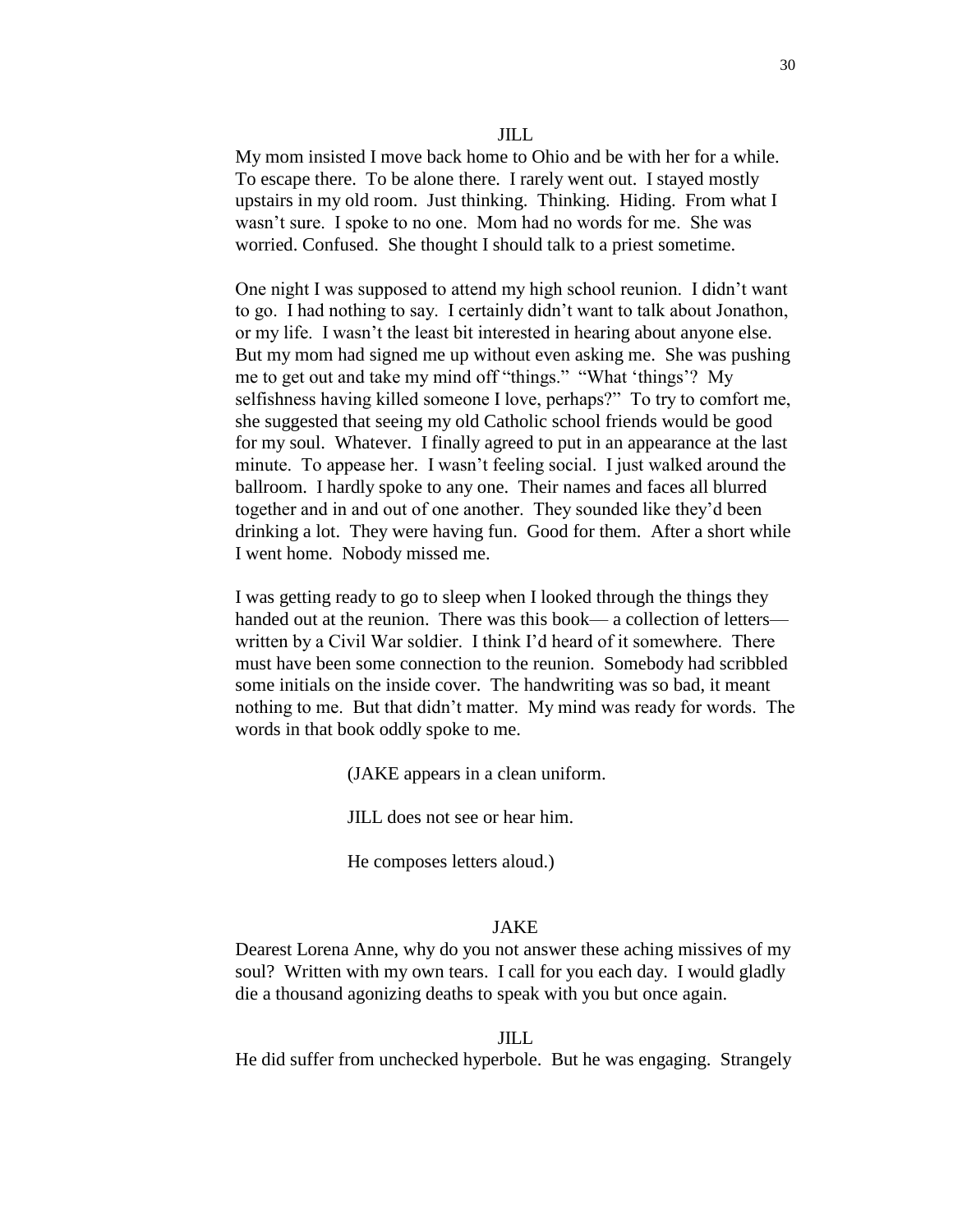#### JILL

My mom insisted I move back home to Ohio and be with her for a while. To escape there. To be alone there. I rarely went out. I stayed mostly upstairs in my old room. Just thinking. Thinking. Hiding. From what I wasn't sure. I spoke to no one. Mom had no words for me. She was worried. Confused. She thought I should talk to a priest sometime.

One night I was supposed to attend my high school reunion. I didn't want to go. I had nothing to say. I certainly didn't want to talk about Jonathon, or my life. I wasn't the least bit interested in hearing about anyone else. But my mom had signed me up without even asking me. She was pushing me to get out and take my mind off "things." "What 'things'? My selfishness having killed someone I love, perhaps?" To try to comfort me, she suggested that seeing my old Catholic school friends would be good for my soul. Whatever. I finally agreed to put in an appearance at the last minute. To appease her. I wasn't feeling social. I just walked around the ballroom. I hardly spoke to any one. Their names and faces all blurred together and in and out of one another. They sounded like they'd been drinking a lot. They were having fun. Good for them. After a short while I went home. Nobody missed me.

I was getting ready to go to sleep when I looked through the things they handed out at the reunion. There was this book— a collection of letters written by a Civil War soldier. I think I'd heard of it somewhere. There must have been some connection to the reunion. Somebody had scribbled some initials on the inside cover. The handwriting was so bad, it meant nothing to me. But that didn't matter. My mind was ready for words. The words in that book oddly spoke to me.

(JAKE appears in a clean uniform.

JILL does not see or hear him.

He composes letters aloud.)

#### JAKE

Dearest Lorena Anne, why do you not answer these aching missives of my soul? Written with my own tears. I call for you each day. I would gladly die a thousand agonizing deaths to speak with you but once again.

#### JILL

He did suffer from unchecked hyperbole. But he was engaging. Strangely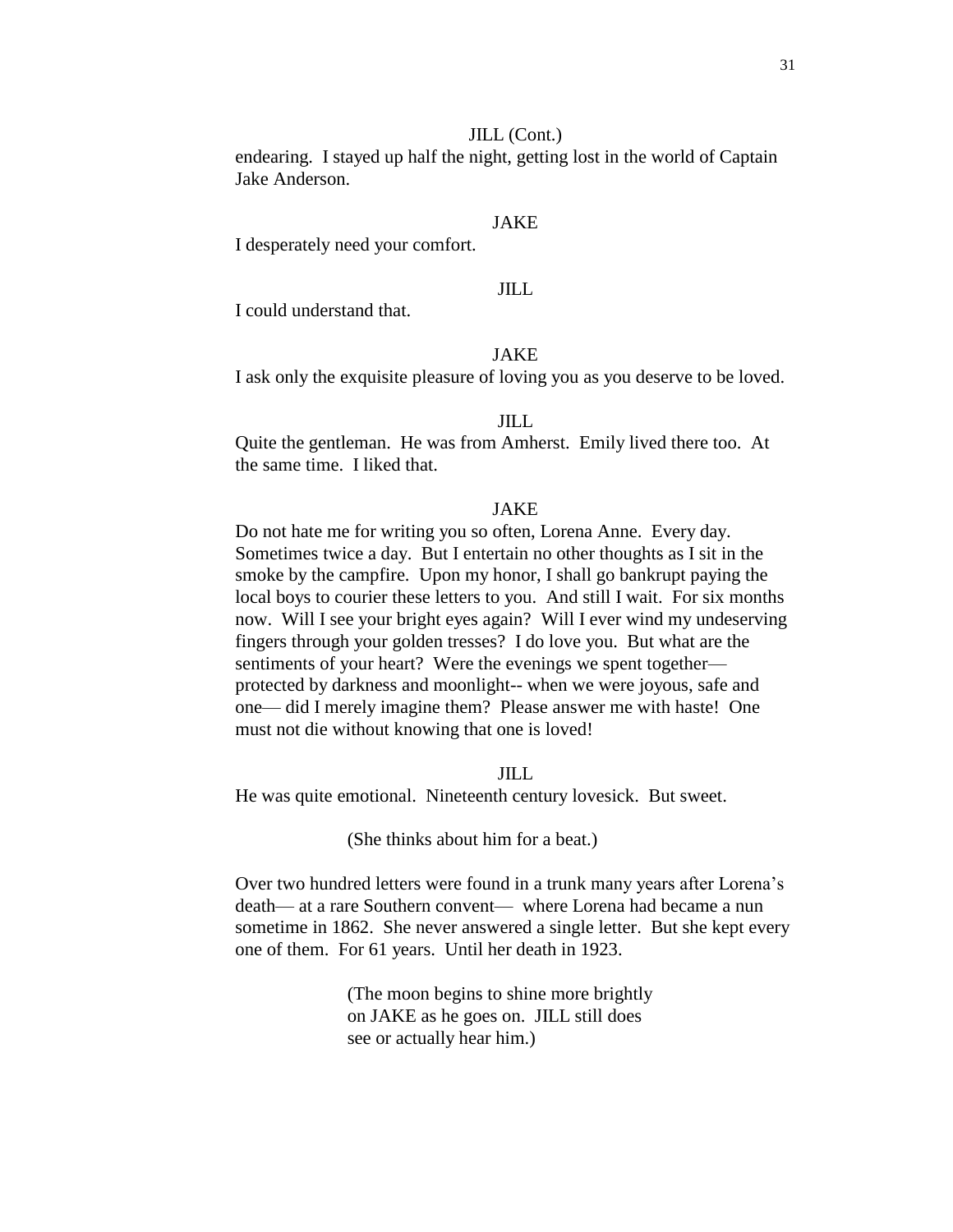#### JILL (Cont.)

endearing. I stayed up half the night, getting lost in the world of Captain Jake Anderson.

#### JAKE

I desperately need your comfort.

### JILL

I could understand that.

## JAKE

I ask only the exquisite pleasure of loving you as you deserve to be loved.

#### JILL

Quite the gentleman. He was from Amherst. Emily lived there too. At the same time. I liked that.

#### JAKE

Do not hate me for writing you so often, Lorena Anne. Every day. Sometimes twice a day. But I entertain no other thoughts as I sit in the smoke by the campfire. Upon my honor, I shall go bankrupt paying the local boys to courier these letters to you. And still I wait. For six months now. Will I see your bright eyes again? Will I ever wind my undeserving fingers through your golden tresses? I do love you. But what are the sentiments of your heart? Were the evenings we spent together protected by darkness and moonlight-- when we were joyous, safe and one— did I merely imagine them? Please answer me with haste! One must not die without knowing that one is loved!

#### JILL

He was quite emotional. Nineteenth century lovesick. But sweet.

(She thinks about him for a beat.)

Over two hundred letters were found in a trunk many years after Lorena's death— at a rare Southern convent— where Lorena had became a nun sometime in 1862. She never answered a single letter. But she kept every one of them. For 61 years. Until her death in 1923.

> (The moon begins to shine more brightly on JAKE as he goes on. JILL still does see or actually hear him.)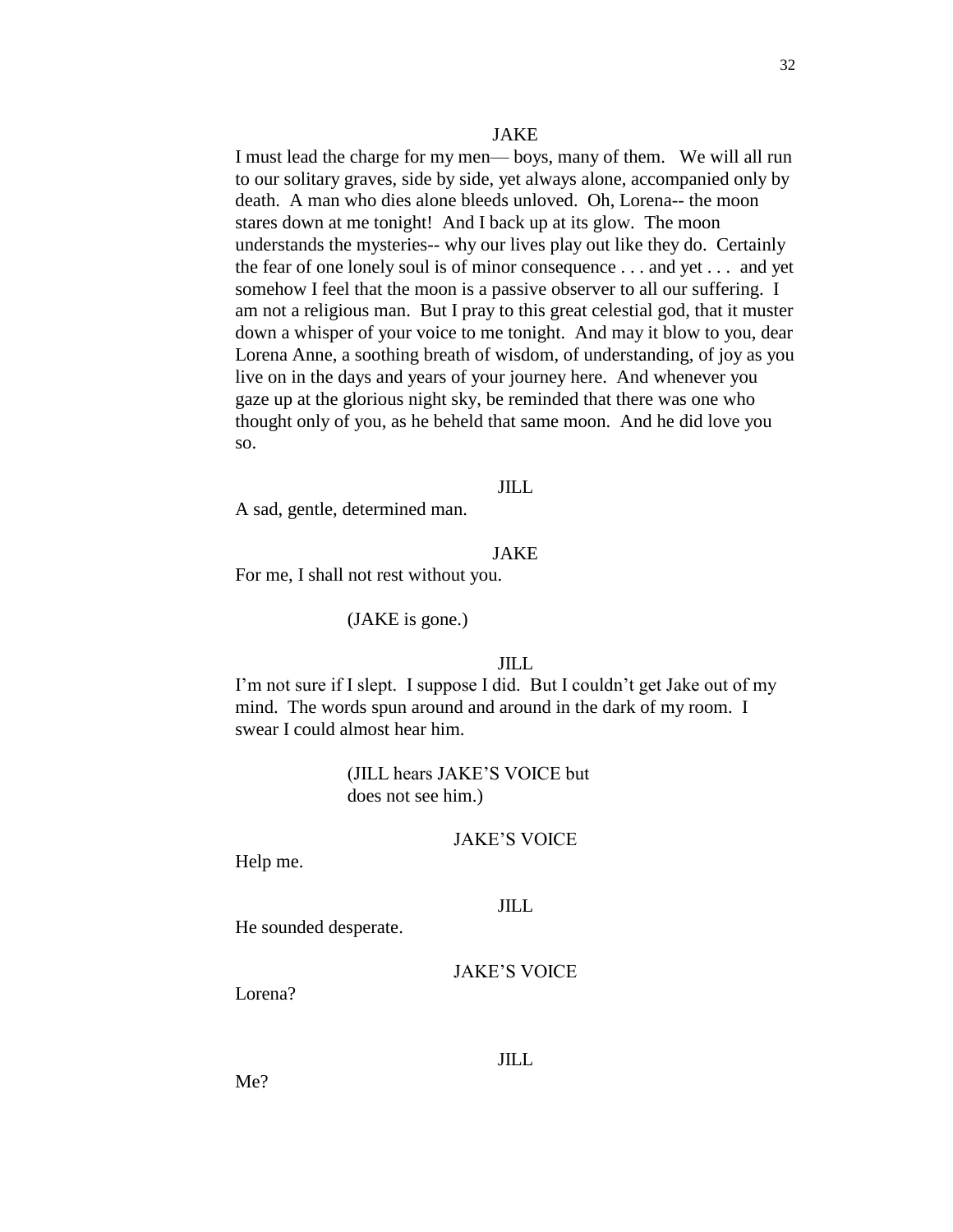#### JAKE

I must lead the charge for my men— boys, many of them. We will all run to our solitary graves, side by side, yet always alone, accompanied only by death. A man who dies alone bleeds unloved. Oh, Lorena-- the moon stares down at me tonight! And I back up at its glow. The moon understands the mysteries-- why our lives play out like they do. Certainly the fear of one lonely soul is of minor consequence . . . and yet . . . and yet somehow I feel that the moon is a passive observer to all our suffering. I am not a religious man. But I pray to this great celestial god, that it muster down a whisper of your voice to me tonight. And may it blow to you, dear Lorena Anne, a soothing breath of wisdom, of understanding, of joy as you live on in the days and years of your journey here. And whenever you gaze up at the glorious night sky, be reminded that there was one who thought only of you, as he beheld that same moon. And he did love you so.

## JILL

A sad, gentle, determined man.

#### JAKE

For me, I shall not rest without you.

#### (JAKE is gone.)

### JILL

I'm not sure if I slept. I suppose I did. But I couldn't get Jake out of my mind. The words spun around and around in the dark of my room. I swear I could almost hear him.

> (JILL hears JAKE'S VOICE but does not see him.)

## JAKE'S VOICE

Help me.

## JILL

He sounded desperate.

### JAKE'S VOICE

Lorena?

### JILL

Me?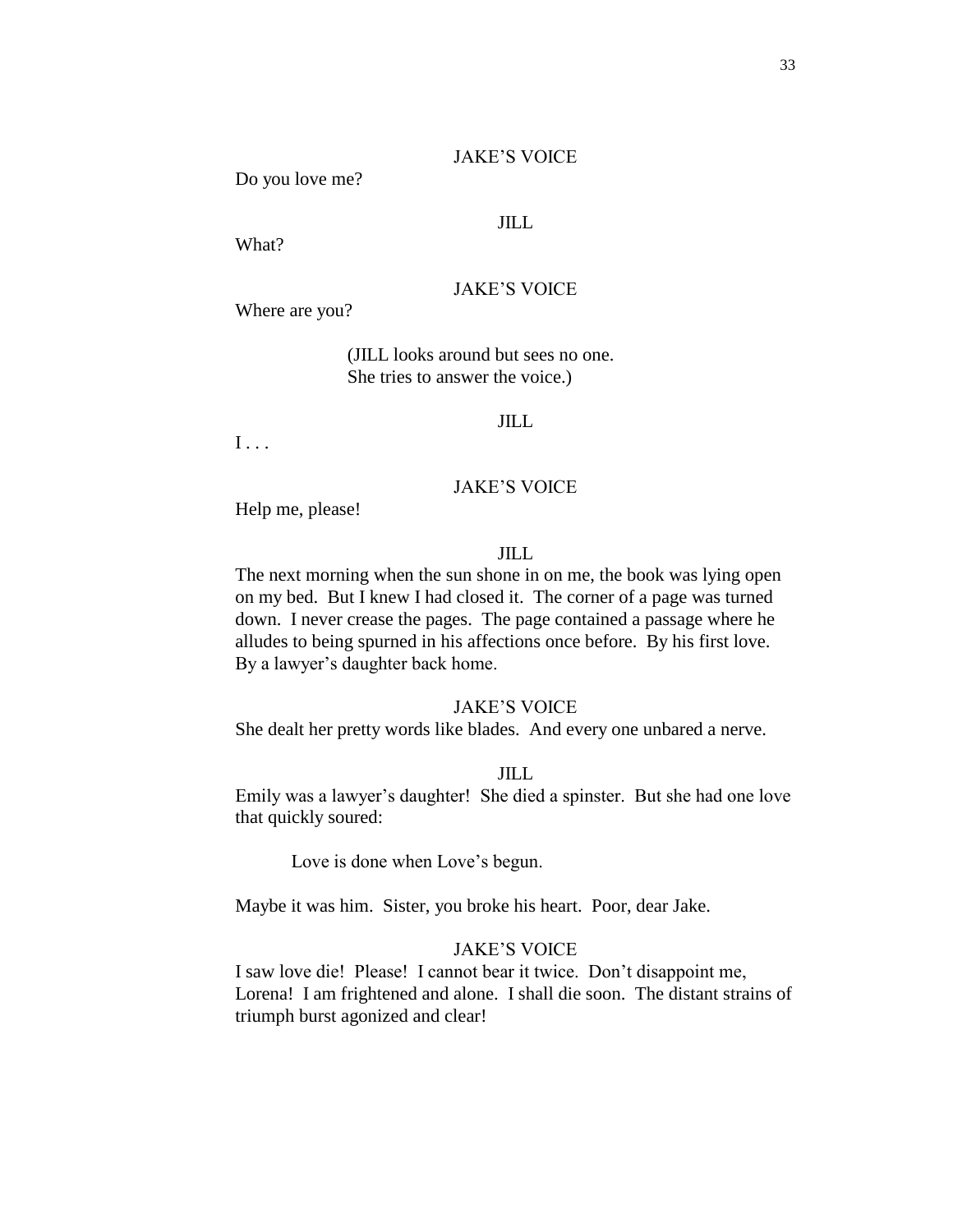#### JAKE'S VOICE

Do you love me?

### JILL

What?

#### JAKE'S VOICE

Where are you?

(JILL looks around but sees no one. She tries to answer the voice.)

#### JILL

I . . .

## JAKE'S VOICE

Help me, please!

### JILL

The next morning when the sun shone in on me, the book was lying open on my bed. But I knew I had closed it. The corner of a page was turned down. I never crease the pages. The page contained a passage where he alludes to being spurned in his affections once before. By his first love. By a lawyer's daughter back home.

#### JAKE'S VOICE

She dealt her pretty words like blades. And every one unbared a nerve.

### JILL

Emily was a lawyer's daughter! She died a spinster. But she had one love that quickly soured:

Love is done when Love's begun.

Maybe it was him. Sister, you broke his heart. Poor, dear Jake.

## JAKE'S VOICE

I saw love die! Please! I cannot bear it twice. Don't disappoint me, Lorena! I am frightened and alone. I shall die soon. The distant strains of triumph burst agonized and clear!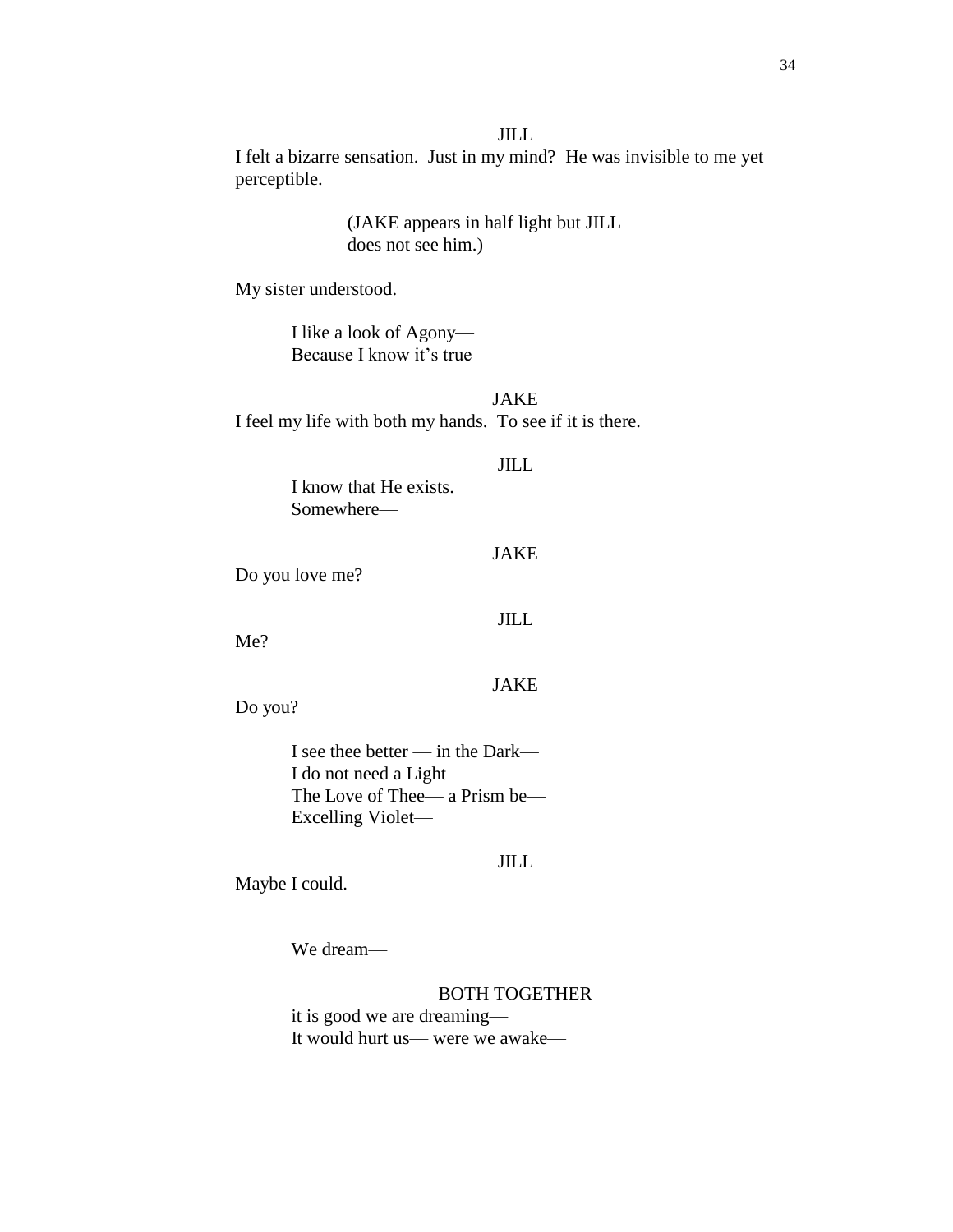#### JILL

I felt a bizarre sensation. Just in my mind? He was invisible to me yet perceptible.

## (JAKE appears in half light but JILL does not see him.)

My sister understood.

I like a look of Agony— Because I know it's true—

JAKE I feel my life with both my hands. To see if it is there.

### JILL

I know that He exists. Somewhere—

## JAKE

Do you love me?

## JILL

Me?

## JAKE

Do you?

I see thee better — in the Dark— I do not need a Light— The Love of Thee— a Prism be— Excelling Violet—

## JILL

Maybe I could.

We dream—

## BOTH TOGETHER

it is good we are dreaming— It would hurt us— were we awake—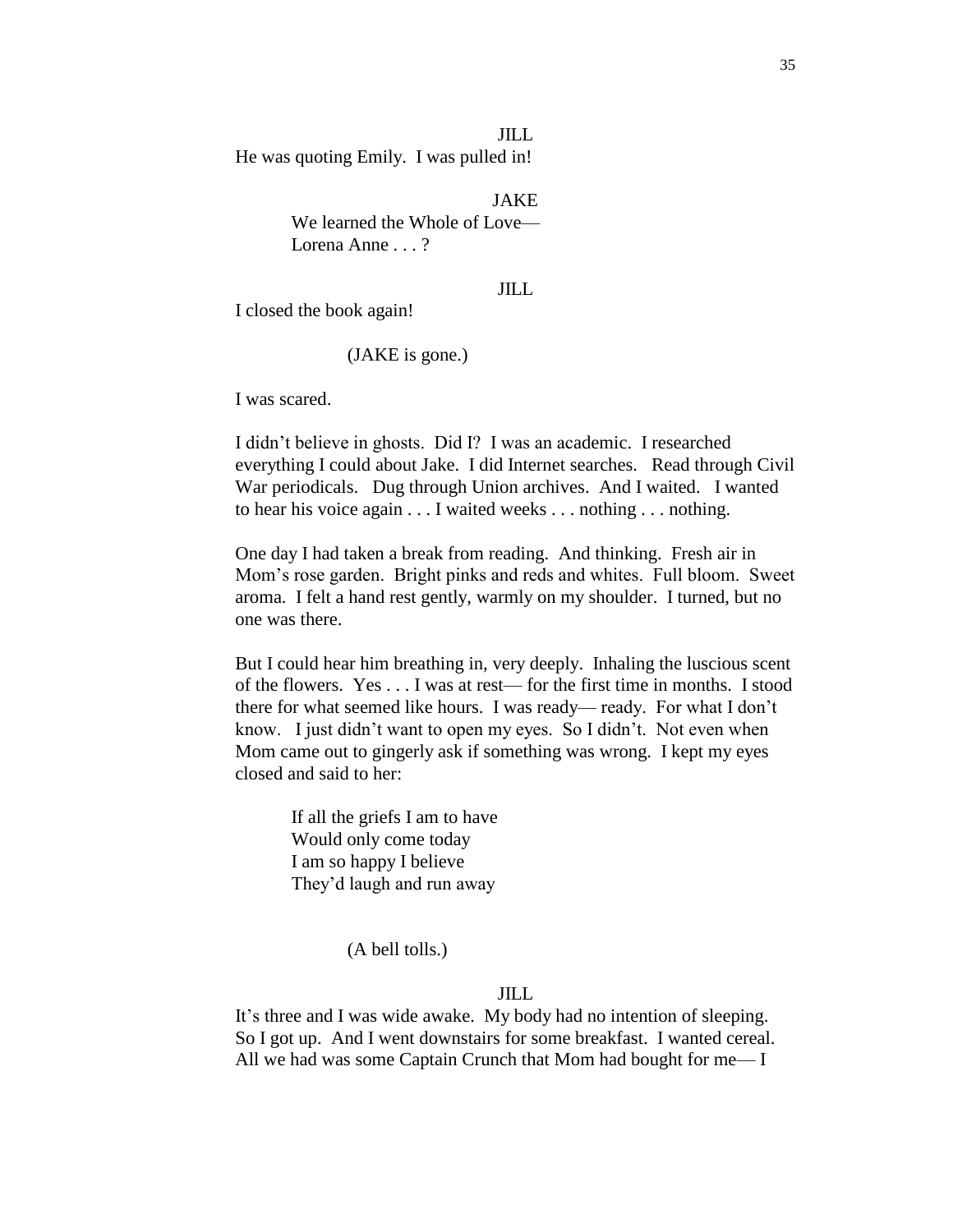JILL He was quoting Emily. I was pulled in!

JAKE

We learned the Whole of Love— Lorena Anne . . . ?

### JILL

I closed the book again!

(JAKE is gone.)

I was scared.

I didn't believe in ghosts. Did I? I was an academic. I researched everything I could about Jake. I did Internet searches. Read through Civil War periodicals. Dug through Union archives. And I waited. I wanted to hear his voice again . . . I waited weeks . . . nothing . . . nothing.

One day I had taken a break from reading. And thinking. Fresh air in Mom's rose garden. Bright pinks and reds and whites. Full bloom. Sweet aroma. I felt a hand rest gently, warmly on my shoulder. I turned, but no one was there.

But I could hear him breathing in, very deeply. Inhaling the luscious scent of the flowers. Yes . . . I was at rest— for the first time in months. I stood there for what seemed like hours. I was ready— ready. For what I don't know. I just didn't want to open my eyes. So I didn't. Not even when Mom came out to gingerly ask if something was wrong. I kept my eyes closed and said to her:

If all the griefs I am to have Would only come today I am so happy I believe They'd laugh and run away

(A bell tolls.)

## JILL

It's three and I was wide awake. My body had no intention of sleeping. So I got up. And I went downstairs for some breakfast. I wanted cereal. All we had was some Captain Crunch that Mom had bought for me— I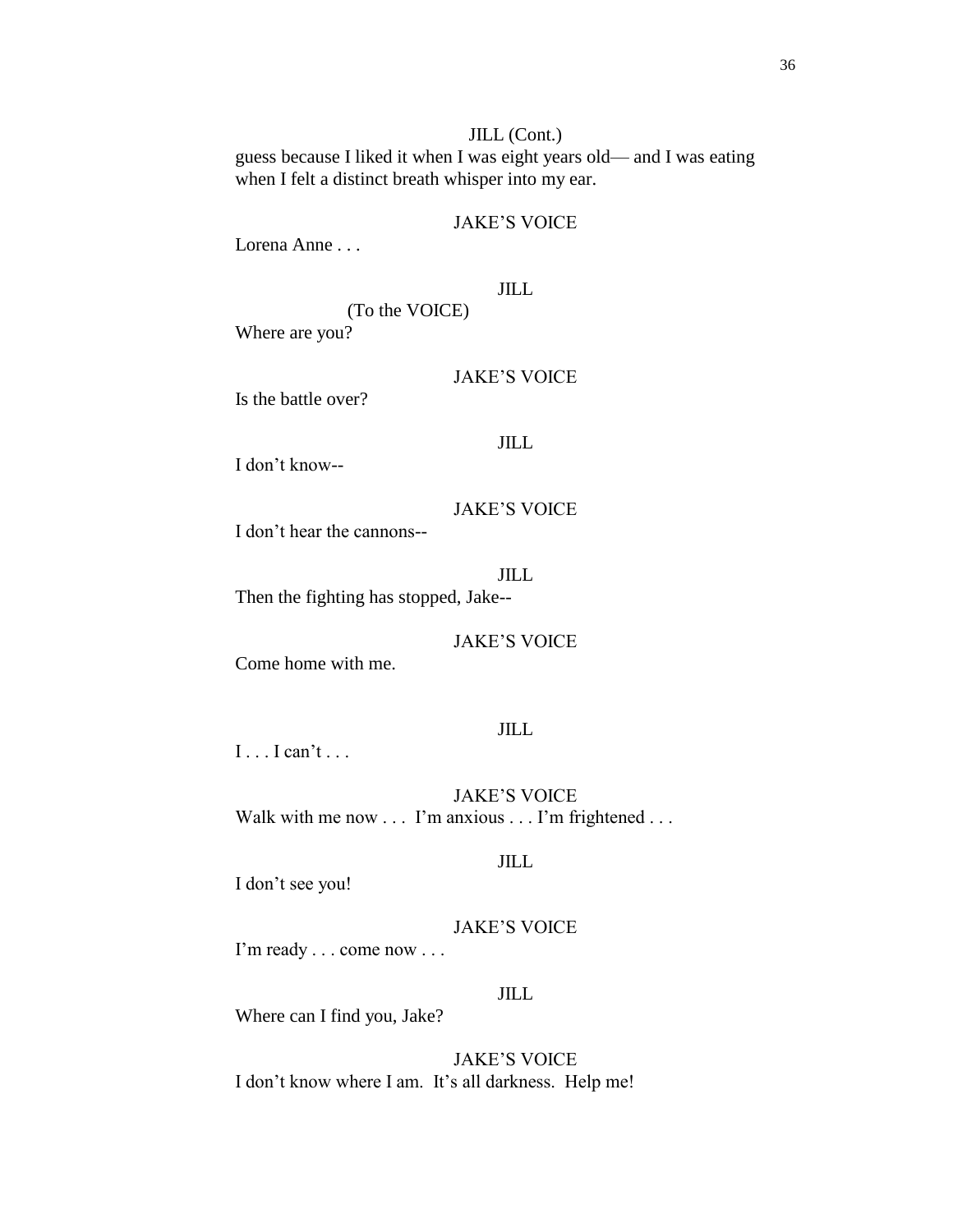## JILL (Cont.) guess because I liked it when I was eight years old— and I was eating when I felt a distinct breath whisper into my ear.

## JAKE'S VOICE

Lorena Anne . . .

## JILL

(To the VOICE) Where are you?

## JAKE'S VOICE

Is the battle over?

#### JILL

I don't know--

## JAKE'S VOICE

I don't hear the cannons--

#### JILL

Then the fighting has stopped, Jake--

## JAKE'S VOICE

Come home with me.

## JILL

I . . . I can't . . .

JAKE'S VOICE Walk with me now . . . I'm anxious . . . I'm frightened . . .

#### JILL

I don't see you!

# JAKE'S VOICE

I'm ready . . . come now . . .

## JILL

Where can I find you, Jake?

JAKE'S VOICE I don't know where I am. It's all darkness. Help me!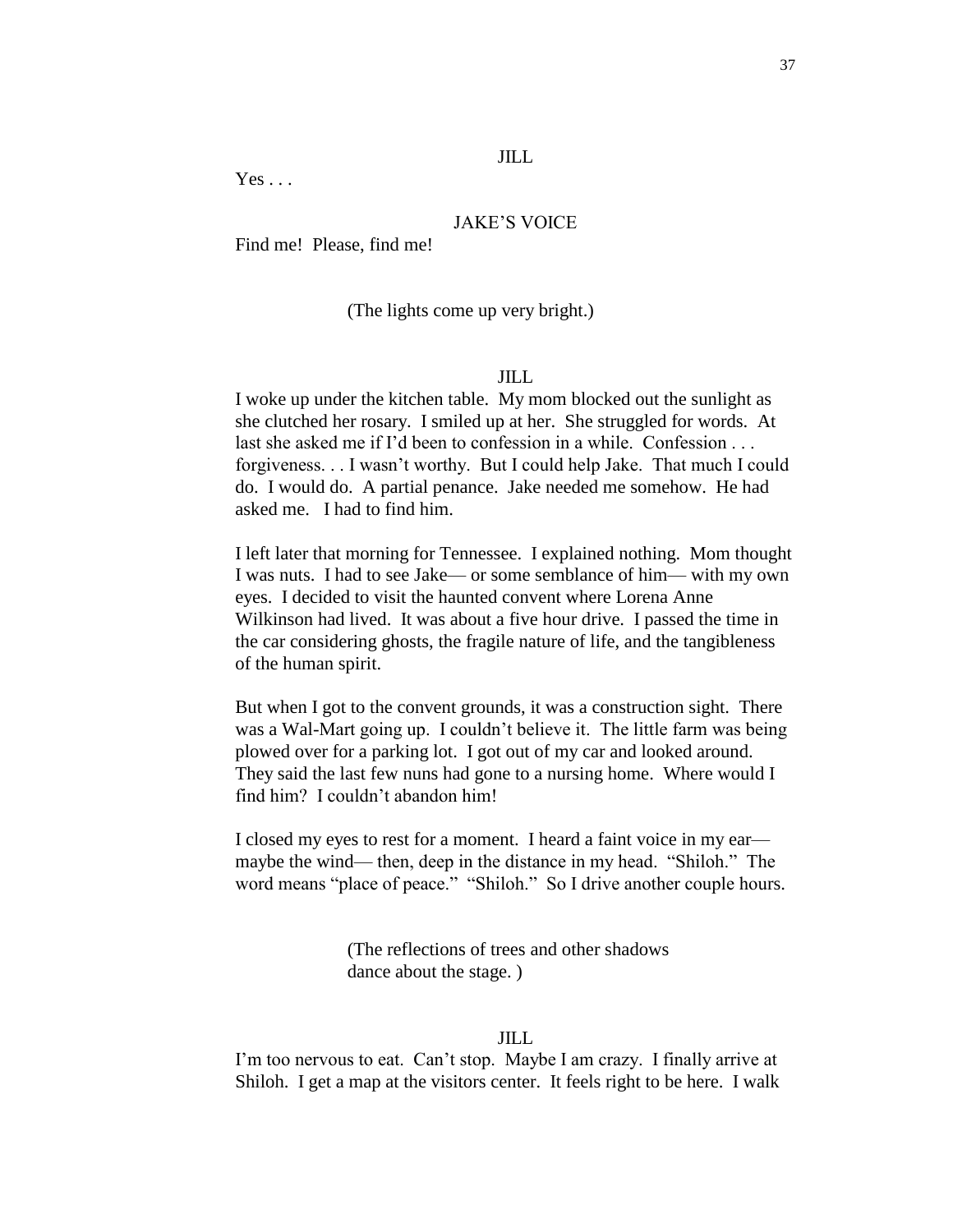### JILL

 $Yes \dots$ 

### JAKE'S VOICE

Find me! Please, find me!

## (The lights come up very bright.)

## JILL

I woke up under the kitchen table. My mom blocked out the sunlight as she clutched her rosary. I smiled up at her. She struggled for words. At last she asked me if I'd been to confession in a while. Confession . . . forgiveness. . . I wasn't worthy. But I could help Jake. That much I could do. I would do. A partial penance. Jake needed me somehow. He had asked me. I had to find him.

I left later that morning for Tennessee. I explained nothing. Mom thought I was nuts. I had to see Jake— or some semblance of him— with my own eyes. I decided to visit the haunted convent where Lorena Anne Wilkinson had lived. It was about a five hour drive. I passed the time in the car considering ghosts, the fragile nature of life, and the tangibleness of the human spirit.

But when I got to the convent grounds, it was a construction sight. There was a Wal-Mart going up. I couldn't believe it. The little farm was being plowed over for a parking lot. I got out of my car and looked around. They said the last few nuns had gone to a nursing home. Where would I find him? I couldn't abandon him!

I closed my eyes to rest for a moment. I heard a faint voice in my ear maybe the wind— then, deep in the distance in my head. "Shiloh." The word means "place of peace." "Shiloh." So I drive another couple hours.

> (The reflections of trees and other shadows dance about the stage. )

## JILL

I'm too nervous to eat. Can't stop. Maybe I am crazy. I finally arrive at Shiloh. I get a map at the visitors center. It feels right to be here. I walk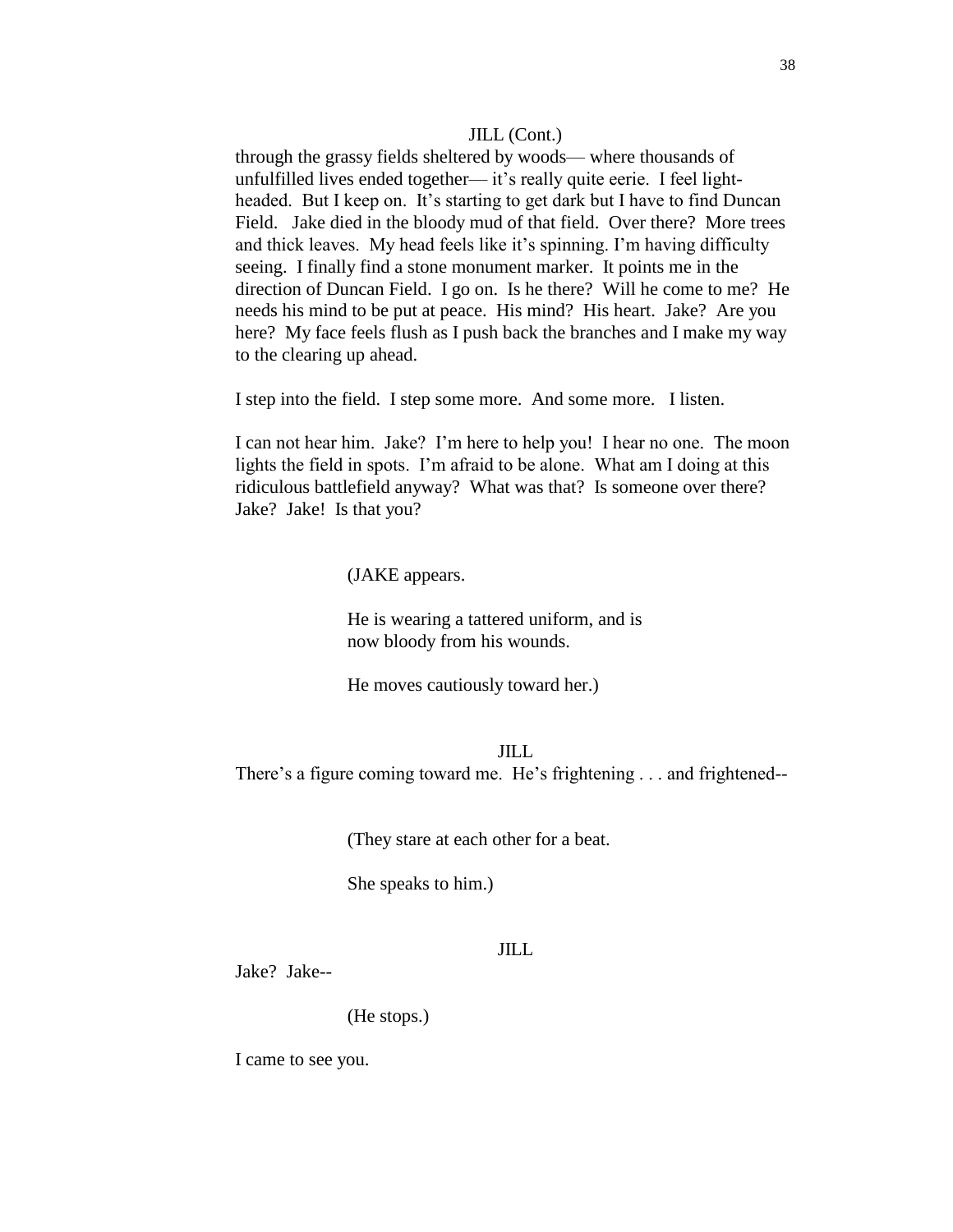#### JILL (Cont.)

through the grassy fields sheltered by woods— where thousands of unfulfilled lives ended together— it's really quite eerie. I feel lightheaded. But I keep on. It's starting to get dark but I have to find Duncan Field. Jake died in the bloody mud of that field. Over there? More trees and thick leaves. My head feels like it's spinning. I'm having difficulty seeing. I finally find a stone monument marker. It points me in the direction of Duncan Field. I go on. Is he there? Will he come to me? He needs his mind to be put at peace. His mind? His heart. Jake? Are you here? My face feels flush as I push back the branches and I make my way to the clearing up ahead.

I step into the field. I step some more. And some more. I listen.

I can not hear him. Jake? I'm here to help you! I hear no one. The moon lights the field in spots. I'm afraid to be alone. What am I doing at this ridiculous battlefield anyway? What was that? Is someone over there? Jake? Jake! Is that you?

(JAKE appears.

He is wearing a tattered uniform, and is now bloody from his wounds.

He moves cautiously toward her.)

## JILL There's a figure coming toward me. He's frightening . . . and frightened--

(They stare at each other for a beat.

She speaks to him.)

### JILL

Jake? Jake--

(He stops.)

I came to see you.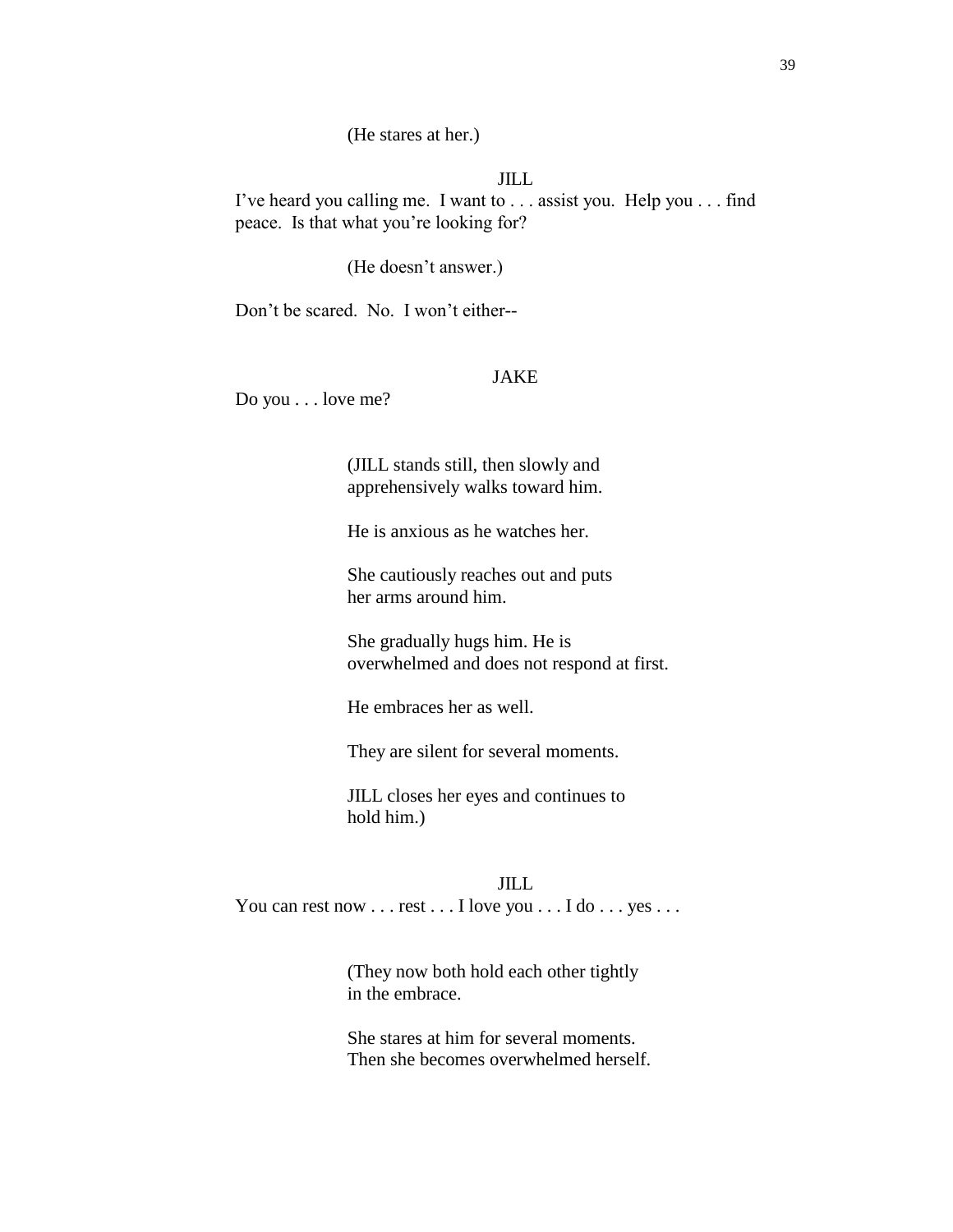(He stares at her.)

### JILL

I've heard you calling me. I want to . . . assist you. Help you . . . find peace. Is that what you're looking for?

(He doesn't answer.)

Don't be scared. No. I won't either--

## JAKE

Do you . . . love me?

(JILL stands still, then slowly and apprehensively walks toward him.

He is anxious as he watches her.

She cautiously reaches out and puts her arms around him.

She gradually hugs him. He is overwhelmed and does not respond at first.

He embraces her as well.

They are silent for several moments.

JILL closes her eyes and continues to hold him.)

#### JILL

You can rest now . . . rest . . . I love you . . . I do . . . yes . . .

(They now both hold each other tightly in the embrace.

She stares at him for several moments. Then she becomes overwhelmed herself.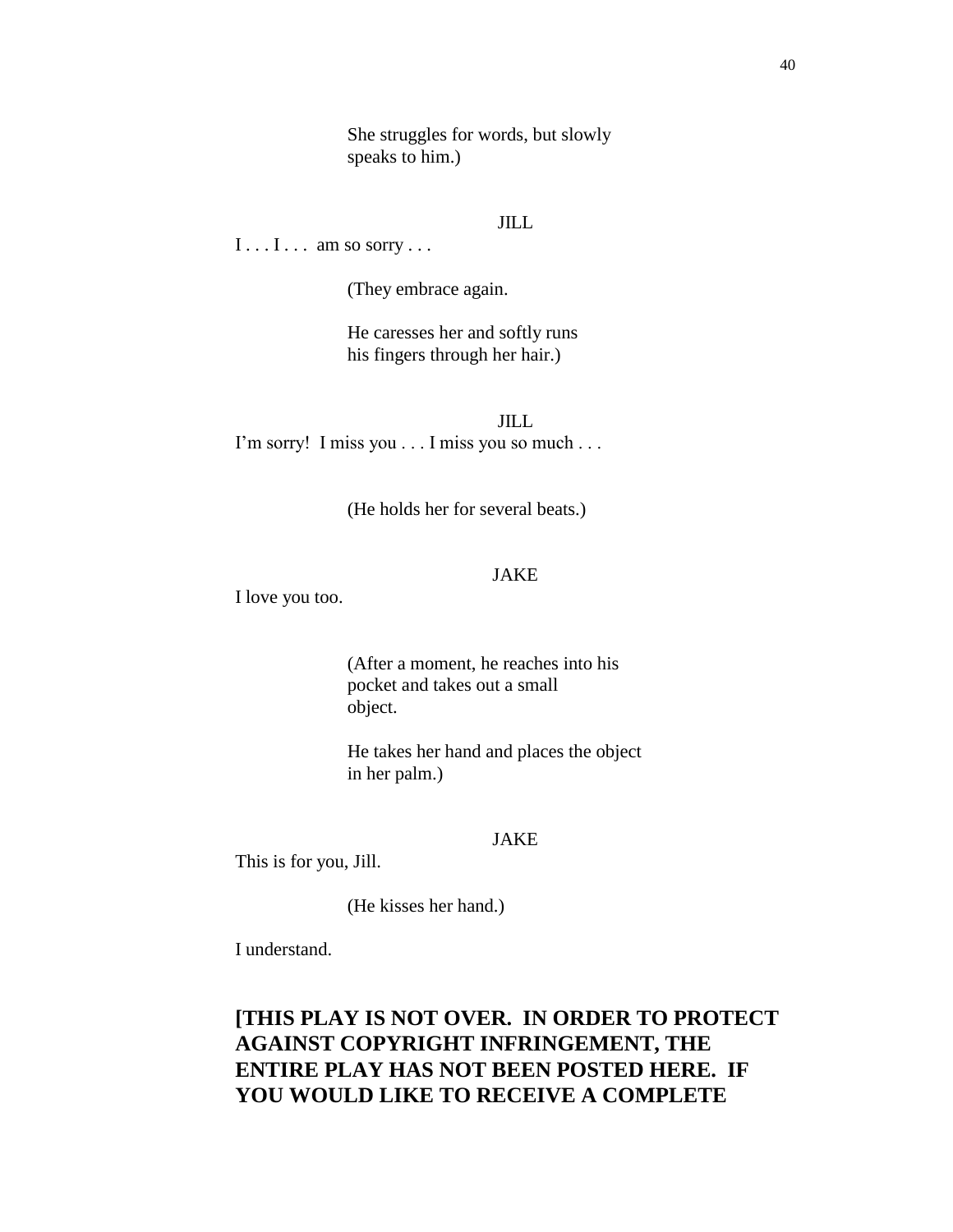She struggles for words, but slowly speaks to him.)

## JILL

 $I \ldots I \ldots$  am so sorry ...

(They embrace again.

He caresses her and softly runs his fingers through her hair.)

JILL I'm sorry! I miss you . . . I miss you so much . . .

(He holds her for several beats.)

## JAKE

I love you too.

(After a moment, he reaches into his pocket and takes out a small object.

He takes her hand and places the object in her palm.)

## JAKE

This is for you, Jill.

(He kisses her hand.)

I understand.

# **[THIS PLAY IS NOT OVER. IN ORDER TO PROTECT AGAINST COPYRIGHT INFRINGEMENT, THE ENTIRE PLAY HAS NOT BEEN POSTED HERE. IF YOU WOULD LIKE TO RECEIVE A COMPLETE**